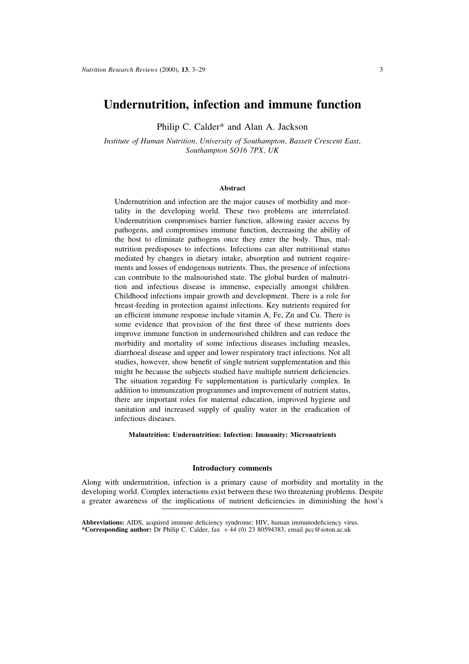# Undernutrition, infection and immune function

Philip C. Calder\* and Alan A. Jackson

Institute of Human Nutrition, University of Southampton, Bassett Crescent East, Southampton SO16 7PX, UK

## Abstract

Undernutrition and infection are the major causes of morbidity and mortality in the developing world. These two problems are interrelated. Undernutrition compromises barrier function, allowing easier access by pathogens, and compromises immune function, decreasing the ability of the host to eliminate pathogens once they enter the body. Thus, malnutrition predisposes to infections. Infections can alter nutritional status mediated by changes in dietary intake, absorption and nutrient requirements and losses of endogenous nutrients. Thus, the presence of infections can contribute to the malnourished state. The global burden of malnutrition and infectious disease is immense, especially amongst children. Childhood infections impair growth and development. There is a role for breast-feeding in protection against infections. Key nutrients required for an efficient immune response include vitamin A, Fe, Zn and Cu. There is some evidence that provision of the first three of these nutrients does improve immune function in undernourished children and can reduce the morbidity and mortality of some infectious diseases including measles, diarrhoeal disease and upper and lower respiratory tract infections. Not all studies, however, show benefit of single nutrient supplementation and this might be because the subjects studied have multiple nutrient deficiencies. The situation regarding Fe supplementation is particularly complex. In addition to immunization programmes and improvement of nutrient status, there are important roles for maternal education, improved hygiene and sanitation and increased supply of quality water in the eradication of infectious diseases.

Malnutrition: Undernutrition: Infection: Immunity: Micronutrients

# **Introductory comments**

Along with undernutrition, infection is a primary cause of morbidity and mortality in the developing world. Complex interactions exist between these two threatening problems. Despite a greater awareness of the implications of nutrient deficiencies in diminishing the host's

Abbreviations: AIDS, acquired immune deficiency syndrome; HIV, human immunodeficiency virus. \*Corresponding author: Dr Philip C. Calder, fax +44 (0) 23 80594383, email pcc@soton.ac.uk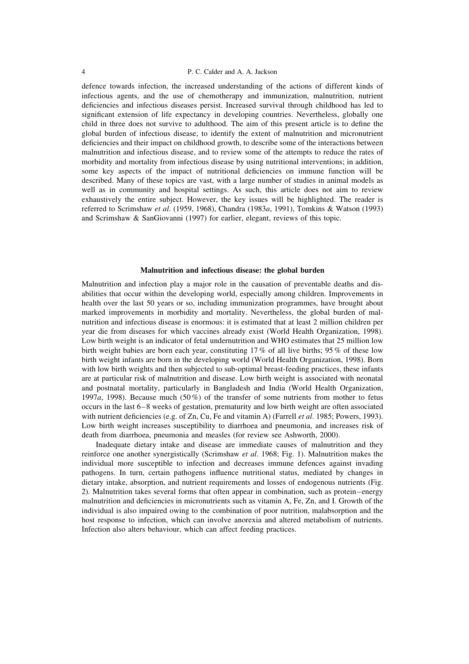### P. C. Calder and A. A. Jackson

defence towards infection, the increased understanding of the actions of different kinds of infectious agents, and the use of chemotherapy and immunization, malnutrition, nutrient deficiencies and infectious diseases persist. Increased survival through childhood has led to significant extension of life expectancy in developing countries. Nevertheless, globally one child in three does not survive to adulthood. The aim of this present article is to define the global burden of infectious disease, to identify the extent of malnutrition and micronutrient deficiencies and their impact on childhood growth, to describe some of the interactions between malnutrition and infectious disease, and to review some of the attempts to reduce the rates of morbidity and mortality from infectious disease by using nutritional interventions; in addition, some key aspects of the impact of nutritional deficiencies on immune function will be described. Many of these topics are vast, with a large number of studies in animal models as well as in community and hospital settings. As such, this article does not aim to review exhaustively the entire subject. However, the key issues will be highlighted. The reader is referred to Scrimshaw et al. (1959, 1968), Chandra (1983a, 1991), Tomkins & Watson (1993) and Scrimshaw & SanGiovanni (1997) for earlier, elegant, reviews of this topic.

### Malnutrition and infectious disease: the global burden

Malnutrition and infection play a major role in the causation of preventable deaths and disabilities that occur within the developing world, especially among children. Improvements in health over the last 50 years or so, including immunization programmes, have brought about marked improvements in morbidity and mortality. Nevertheless, the global burden of malnutrition and infectious disease is enormous: it is estimated that at least 2 million children per year die from diseases for which vaccines already exist (World Health Organization, 1998). Low birth weight is an indicator of fetal undernutrition and WHO estimates that 25 million low birth weight babies are born each year, constituting  $17\%$  of all live births; 95% of these low birth weight infants are born in the developing world (World Health Organization, 1998). Born with low birth weights and then subjected to sub-optimal breast-feeding practices, these infants are at particular risk of malnutrition and disease. Low birth weight is associated with neonatal and postnatal mortality, particularly in Bangladesh and India (World Health Organization, 1997a, 1998). Because much  $(50\%)$  of the transfer of some nutrients from mother to fetus occurs in the last 6–8 weeks of gestation, prematurity and low birth weight are often associated with nutrient deficiencies (e.g. of Zn, Cu, Fe and vitamin A) (Farrell *et al.* 1985; Powers, 1993). Low birth weight increases susceptibility to diarrhoea and pneumonia, and increases risk of death from diarrhoea, pneumonia and measles (for review see Ashworth, 2000).

Inadequate dietary intake and disease are immediate causes of malnutrition and they reinforce one another synergistically (Scrimshaw et al. 1968; Fig. 1). Malnutrition makes the individual more susceptible to infection and decreases immune defences against invading pathogens. In turn, certain pathogens influence nutritional status, mediated by changes in dietary intake, absorption, and nutrient requirements and losses of endogenous nutrients (Fig. 2). Malnutrition takes several forms that often appear in combination, such as protein–energy malnutrition and deficiencies in micronutrients such as vitamin A, Fe, Zn, and I. Growth of the individual is also impaired owing to the combination of poor nutrition, malabsorption and the host response to infection, which can involve anorexia and altered metabolism of nutrients. Infection also alters behaviour, which can affect feeding practices.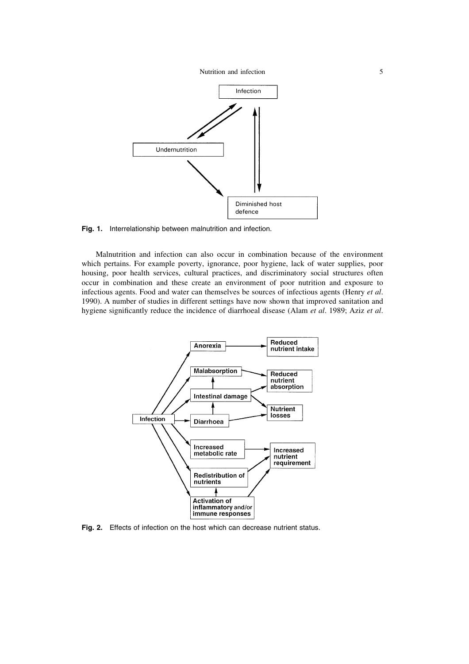



Fig. 1. Interrelationship between malnutrition and infection.

Malnutrition and infection can also occur in combination because of the environment which pertains. For example poverty, ignorance, poor hygiene, lack of water supplies, poor housing, poor health services, cultural practices, and discriminatory social structures often occur in combination and these create an environment of poor nutrition and exposure to infectious agents. Food and water can themselves be sources of infectious agents (Henry *et al.*) 1990). A number of studies in different settings have now shown that improved sanitation and hygiene significantly reduce the incidence of diarrhoeal disease (Alam et al. 1989; Aziz et al.



Fig. 2. Effects of infection on the host which can decrease nutrient status.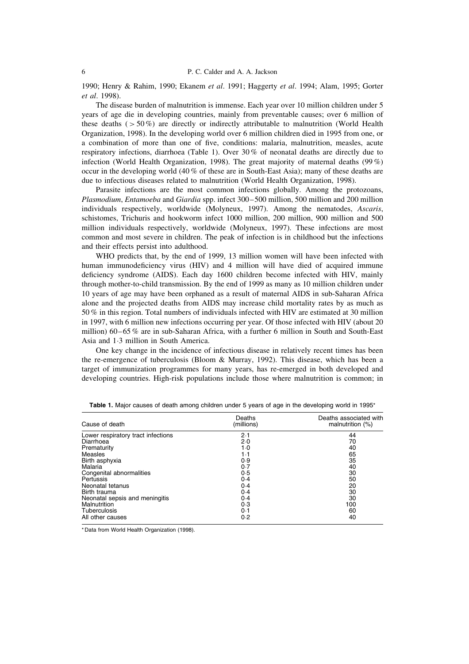1990: Henry & Rahim, 1990: Ekanem et al. 1991: Haggerty et al. 1994: Alam, 1995: Gorter et al. 1998).

The disease burden of malnutrition is immense. Each year over 10 million children under 5 years of age die in developing countries, mainly from preventable causes; over 6 million of these deaths ( $> 50\%$ ) are directly or indirectly attributable to malnutrition (World Health Organization, 1998). In the developing world over 6 million children died in 1995 from one, or a combination of more than one of five, conditions: malaria, malnutrition, measles, acute respiratory infections, diarrhoea (Table 1). Over 30% of neonatal deaths are directly due to infection (World Health Organization, 1998). The great majority of maternal deaths  $(99\%)$ occur in the developing world  $(40\%$  of these are in South-East Asia); many of these deaths are due to infectious diseases related to malnutrition (World Health Organization, 1998).

Parasite infections are the most common infections globally. Among the protozoans, Plasmodium, Entamoeba and Giardia spp. infect 300-500 million, 500 million and 200 million individuals respectively, worldwide (Molyneux, 1997). Among the nematodes, Ascaris, schistomes, Trichuris and hookworm infect 1000 million, 200 million, 900 million and 500 million individuals respectively, worldwide (Molyneux, 1997). These infections are most common and most severe in children. The peak of infection is in childhood but the infections and their effects persist into adulthood.

WHO predicts that, by the end of 1999, 13 million women will have been infected with human immunodeficiency virus (HIV) and 4 million will have died of acquired immune deficiency syndrome (AIDS). Each day 1600 children become infected with HIV, mainly through mother-to-child transmission. By the end of 1999 as many as 10 million children under 10 years of age may have been orphaned as a result of maternal AIDS in sub-Saharan Africa alone and the projected deaths from AIDS may increase child mortality rates by as much as 50% in this region. Total numbers of individuals infected with HIV are estimated at 30 million in 1997, with 6 million new infections occurring per year. Of those infected with HIV (about 20 million) 60–65 % are in sub-Saharan Africa, with a further 6 million in South and South-East Asia and 1.3 million in South America.

One key change in the incidence of infectious disease in relatively recent times has been the re-emergence of tuberculosis (Bloom & Murray, 1992). This disease, which has been a target of immunization programmes for many years, has re-emerged in both developed and developing countries. High-risk populations include those where malnutrition is common; in

| Cause of death                     | Deaths<br>(millions) | Deaths associated with<br>malnutrition (%) |
|------------------------------------|----------------------|--------------------------------------------|
| Lower respiratory tract infections | 2.1                  | 44                                         |
| Diarrhoea                          | 2.0                  | 70                                         |
| Prematurity                        | 1.0                  | 40                                         |
| Measles                            | 1.1                  | 65                                         |
| Birth asphyxia                     | 0.9                  | 35                                         |
| Malaria                            | 0.7                  | 40                                         |
| Congenital abnormalities           | 0.5                  | 30                                         |
| Pertussis                          | 0.4                  | 50                                         |
| Neonatal tetanus                   | 0.4                  | 20                                         |
| Birth trauma                       | 0.4                  | 30                                         |
| Neonatal sepsis and meningitis     | 0.4                  | 30                                         |
| Malnutrition                       | 0.3                  | 100                                        |
| Tuberculosis                       | 0.1                  | 60                                         |
| All other causes                   | 0.2                  | 40                                         |

Table 1. Major causes of death among children under 5 years of age in the developing world in 1995\*

\* Data from World Health Organization (1998).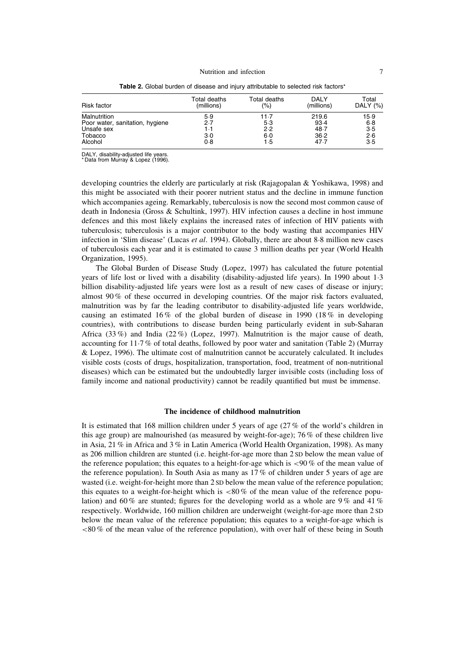| Risk factor                     | Total deaths<br>(millions) | Total deaths<br>(%) | DALY<br>(millions) | Total<br>DALY $(%)$ |
|---------------------------------|----------------------------|---------------------|--------------------|---------------------|
| Malnutrition                    | 5.9                        | 11.7                | 219.6              | 15.9                |
| Poor water, sanitation, hygiene | 2.7                        | 5.3                 | 93.4               | 6.8                 |
| Unsafe sex                      | 1.1                        | 2.2                 | 48.7               | 3.5                 |
| Tobacco                         | 3.0                        | $6-0$               | 36.2               | 2.6                 |
| Alcohol                         | 0.8                        | 1.5                 | 47.7               | 3.5                 |

Table 2. Global burden of disease and injury attributable to selected risk factors\*

DALY, disability-adjusted life years

\* Data from Murray & Lopez (1996)

developing countries the elderly are particularly at risk (Rajagopalan & Yoshikawa, 1998) and this might be associated with their poorer nutrient status and the decline in immune function which accompanies ageing. Remarkably, tuberculosis is now the second most common cause of death in Indonesia (Gross & Schultink, 1997). HIV infection causes a decline in host immune defences and this most likely explains the increased rates of infection of HIV patients with tuberculosis; tuberculosis is a major contributor to the body wasting that accompanies HIV infection in 'Slim disease' (Lucas *et al.* 1994). Globally, there are about  $8.8$  million new cases of tuberculosis each year and it is estimated to cause 3 million deaths per year (World Health Organization, 1995).

The Global Burden of Disease Study (Lopez, 1997) has calculated the future potential years of life lost or lived with a disability (disability-adjusted life years). In 1990 about 1.3 billion disability-adjusted life years were lost as a result of new cases of disease or injury; almost 90% of these occurred in developing countries. Of the major risk factors evaluated, malnutrition was by far the leading contributor to disability-adjusted life years worldwide, causing an estimated 16% of the global burden of disease in 1990 (18% in developing countries), with contributions to disease burden being particularly evident in sub-Saharan Africa (33%) and India (22%) (Lopez, 1997). Malnutrition is the major cause of death, accounting for  $11.7\%$  of total deaths, followed by poor water and sanitation (Table 2) (Murray & Lopez, 1996). The ultimate cost of malnutrition cannot be accurately calculated. It includes visible costs (costs of drugs, hospitalization, transportation, food, treatment of non-nutritional diseases) which can be estimated but the undoubtedly larger invisible costs (including loss of family income and national productivity) cannot be readily quantified but must be immense.

### The incidence of childhood malnutrition

It is estimated that 168 million children under 5 years of age  $(27\%$  of the world's children in this age group) are malnourished (as measured by weight-for-age); 76 % of these children live in Asia, 21% in Africa and 3% in Latin America (World Health Organization, 1998). As many as 206 million children are stunted (i.e. height-for-age more than 2 SD below the mean value of the reference population; this equates to a height-for-age which is  $\lt 90\%$  of the mean value of the reference population). In South Asia as many as 17% of children under 5 years of age are wasted (i.e. weight-for-height more than 2 SD below the mean value of the reference population; this equates to a weight-for-height which is  $< 80\%$  of the mean value of the reference population) and 60% are stunted; figures for the developing world as a whole are 9% and 41% respectively. Worldwide, 160 million children are underweight (weight-for-age more than 2 SD below the mean value of the reference population; this equates to a weight-for-age which is  $<80\%$  of the mean value of the reference population), with over half of these being in South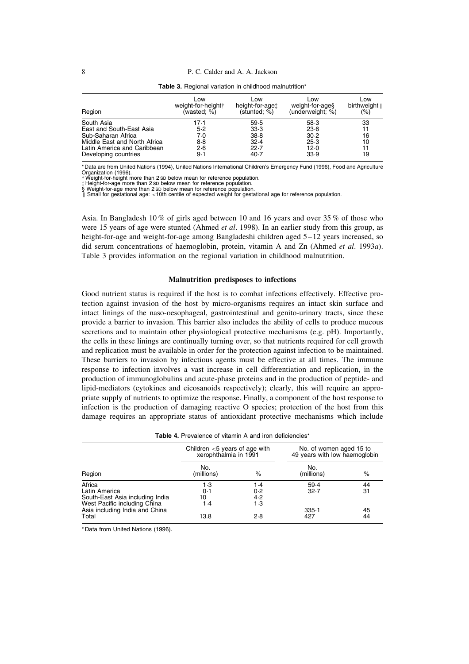| Region                       | Low<br>weight-for-height+<br>(wasted; %) | Low<br>height-for-aget<br>$\:math> (stunted: %)$ | Low<br>weight-for-ages<br>(underweight; %) | Low<br>birthweight $\parallel$<br>(%) |
|------------------------------|------------------------------------------|--------------------------------------------------|--------------------------------------------|---------------------------------------|
| South Asia                   | 17 1                                     | 59.5                                             | 58.3                                       | 33                                    |
| East and South-East Asia     | 5.2                                      | 33.3                                             | 23.6                                       | 11                                    |
| Sub-Saharan Africa           | 7.0                                      | 38.8                                             | 30.2                                       | 16                                    |
| Middle East and North Africa | 8.8                                      | 32.4                                             | 25.3                                       | 10                                    |
| Latin America and Caribbean  | 2.6                                      | 22.7                                             | 12.0                                       | 11                                    |
| Developing countries         | 9 1                                      | 40.7                                             | 33.9                                       | 19                                    |

Table 3. Regional variation in childhood malnutrition\*

\*Data are from United Nations (1994), United Nations International Children's Emergency Fund (1996), Food and Agriculture Organization (1996).<br>
The Philadelphian of the Contract of the Contract of the Veight-for-height more than 2 SD below mean for reference population.

Height-for-age more than 2 sp below mean for reference population.

Tenginero. age more than 2.5b below mean for reference population.<br>Weight-for-age more than 2.5b below mean for reference population.<br>Small for gestational age: <10th centile of expected weight for gestational age for refe

Asia. In Bangladesh 10% of girls aged between 10 and 16 years and over 35% of those who were 15 years of age were stunted (Ahmed *et al.* 1998). In an earlier study from this group, as height-for-age and weight-for-age among Bangladeshi children aged 5-12 years increased, so did serum concentrations of haemoglobin, protein, vitamin A and Zn (Ahmed et al. 1993a). Table 3 provides information on the regional variation in childhood malnutrition.

# Malnutrition predisposes to infections

Good nutrient status is required if the host is to combat infections effectively. Effective protection against invasion of the host by micro-organisms requires an intact skin surface and intact linings of the naso-oesophageal, gastrointestinal and genito-urinary tracts, since these provide a barrier to invasion. This barrier also includes the ability of cells to produce mucous secretions and to maintain other physiological protective mechanisms (e.g. pH). Importantly, the cells in these linings are continually turning over, so that nutrients required for cell growth and replication must be available in order for the protection against infection to be maintained. These barriers to invasion by infectious agents must be effective at all times. The immune response to infection involves a vast increase in cell differentiation and replication, in the production of immunoglobulins and acute-phase proteins and in the production of peptide- and lipid-mediators (cytokines and eicosanoids respectively); clearly, this will require an appropriate supply of nutrients to optimize the response. Finally, a component of the host response to infection is the production of damaging reactive O species; protection of the host from this damage requires an appropriate status of antioxidant protective mechanisms which include

| <b>Table 4.</b> Prevalence of vitamin A and from deficiencies |                                                           |      |                                                          |      |  |  |
|---------------------------------------------------------------|-----------------------------------------------------------|------|----------------------------------------------------------|------|--|--|
|                                                               | Children $<$ 5 years of age with<br>xerophthalmia in 1991 |      | No. of women aged 15 to<br>49 years with low haemoglobin |      |  |  |
| Region                                                        | No.<br>(millions)                                         | %    | No.<br>(millions)                                        | $\%$ |  |  |
| Africa                                                        | 1.3                                                       | 1 .4 | 59.4                                                     | 44   |  |  |
| Latin America                                                 | 0.1                                                       | 0.2  | 32.7                                                     | 31   |  |  |
| South-East Asia including India                               | 10                                                        | 4.2  |                                                          |      |  |  |
| West Pacific including China                                  | 1.4                                                       | 1.3  |                                                          |      |  |  |
| Asia including India and China                                |                                                           |      | $335 - 1$                                                | 45   |  |  |
| Total                                                         | 13.8                                                      | 2.8  | 427                                                      | 44   |  |  |

 $\sim$ لمدارعا  $\sim$   $\sim$  $\ddot{\phantom{a}}$ ومحصورها

\* Data from United Nations (1996).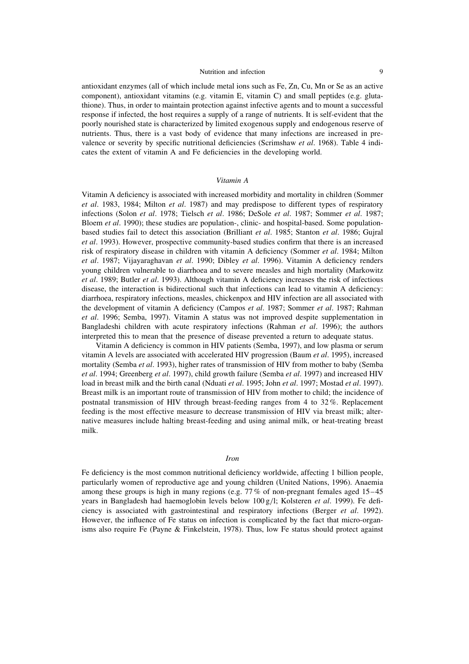antioxidant enzymes (all of which include metal ions such as Fe, Zn, Cu, Mn or Se as an active component), antioxidant vitamins (e.g. vitamin E, vitamin C) and small peptides (e.g. glutathione). Thus, in order to maintain protection against infective agents and to mount a successful response if infected, the host requires a supply of a range of nutrients. It is self-evident that the poorly nourished state is characterized by limited exogenous supply and endogenous reserve of nutrients. Thus, there is a vast body of evidence that many infections are increased in prevalence or severity by specific nutritional deficiencies (Scrimshaw et al. 1968). Table 4 indicates the extent of vitamin A and Fe deficiencies in the developing world.

## Vitamin A

Vitamin A deficiency is associated with increased morbidity and mortality in children (Sommer et al. 1983, 1984; Milton et al. 1987) and may predispose to different types of respiratory infections (Solon et al. 1978; Tielsch et al. 1986; DeSole et al. 1987; Sommer et al. 1987; Bloem et al. 1990); these studies are population-, clinic- and hospital-based. Some populationbased studies fail to detect this association (Brilliant et al. 1985; Stanton et al. 1986; Guiral et al. 1993). However, prospective community-based studies confirm that there is an increased risk of respiratory disease in children with vitamin A deficiency (Sommer et al. 1984; Milton et al. 1987; Vijayaraghavan et al. 1990; Dibley et al. 1996). Vitamin A deficiency renders young children vulnerable to diarrhoea and to severe measles and high mortality (Markowitz et al. 1989; Butler et al. 1993). Although vitamin A deficiency increases the risk of infectious disease, the interaction is bidirectional such that infections can lead to vitamin A deficiency: diarrhoea, respiratory infections, measles, chickenpox and HIV infection are all associated with the development of vitamin A deficiency (Campos et al. 1987; Sommer et al. 1987; Rahman et al. 1996; Semba, 1997). Vitamin A status was not improved despite supplementation in Bangladeshi children with acute respiratory infections (Rahman *et al.* 1996); the authors interpreted this to mean that the presence of disease prevented a return to adequate status.

Vitamin A deficiency is common in HIV patients (Semba, 1997), and low plasma or serum vitamin A levels are associated with accelerated HIV progression (Baum et al. 1995), increased mortality (Semba et al. 1993), higher rates of transmission of HIV from mother to baby (Semba et al. 1994; Greenberg et al. 1997), child growth failure (Semba et al. 1997) and increased HIV load in breast milk and the birth canal (Nduati et al. 1995; John et al. 1997; Mostad et al. 1997). Breast milk is an important route of transmission of HIV from mother to child; the incidence of postnatal transmission of HIV through breast-feeding ranges from 4 to 32%. Replacement feeding is the most effective measure to decrease transmission of HIV via breast milk; alternative measures include halting breast-feeding and using animal milk, or heat-treating breast milk.

#### Iron

Fe deficiency is the most common nutritional deficiency worldwide, affecting 1 billion people, particularly women of reproductive age and young children (United Nations, 1996). Anaemia among these groups is high in many regions (e.g.  $77\%$  of non-pregnant females aged 15-45 years in Bangladesh had haemoglobin levels below  $100 g/l$ ; Kolsteren et al. 1999). Fe deficiency is associated with gastrointestinal and respiratory infections (Berger et al. 1992). However, the influence of Fe status on infection is complicated by the fact that micro-organisms also require Fe (Payne & Finkelstein, 1978). Thus, low Fe status should protect against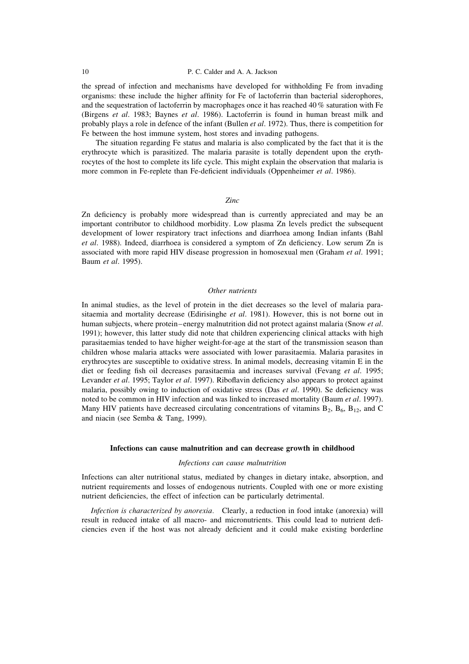the spread of infection and mechanisms have developed for withholding Fe from invading organisms: these include the higher affinity for Fe of lactoferrin than bacterial siderophores, and the sequestration of lactoferrin by macrophages once it has reached 40  $\%$  saturation with Fe (Birgens et al. 1983; Baynes et al. 1986). Lactoferrin is found in human breast milk and probably plays a role in defence of the infant (Bullen *et al.* 1972). Thus, there is competition for Fe between the host immune system, host stores and invading pathogens.

The situation regarding Fe status and malaria is also complicated by the fact that it is the erythrocyte which is parasitized. The malaria parasite is totally dependent upon the erythrocytes of the host to complete its life cycle. This might explain the observation that malaria is more common in Fe-replete than Fe-deficient individuals (Oppenheimer et al. 1986).

# Zinc

Zn deficiency is probably more widespread than is currently appreciated and may be an important contributor to childhood morbidity. Low plasma Zn levels predict the subsequent development of lower respiratory tract infections and diarrhoea among Indian infants (Bahl et al. 1988). Indeed, diarrhoea is considered a symptom of Zn deficiency. Low serum Zn is associated with more rapid HIV disease progression in homosexual men (Graham et al. 1991; Baum et al. 1995).

# Other nutrients

In animal studies, as the level of protein in the diet decreases so the level of malaria parasitaemia and mortality decrease (Edirisinghe et al. 1981). However, this is not borne out in human subjects, where protein–energy malnutrition did not protect against malaria (Snow et al. 1991); however, this latter study did note that children experiencing clinical attacks with high parasitaemias tended to have higher weight-for-age at the start of the transmission season than children whose malaria attacks were associated with lower parasitaemia. Malaria parasites in erythrocytes are susceptible to oxidative stress. In animal models, decreasing vitamin E in the diet or feeding fish oil decreases parasitaemia and increases survival (Fevang et al. 1995; Levander et al. 1995; Taylor et al. 1997). Riboflavin deficiency also appears to protect against malaria, possibly owing to induction of oxidative stress (Das et al. 1990). Se deficiency was noted to be common in HIV infection and was linked to increased mortality (Baum et al. 1997). Many HIV patients have decreased circulating concentrations of vitamins  $B_2$ ,  $B_6$ ,  $B_{12}$ , and C and niacin (see Semba & Tang, 1999).

### Infections can cause malnutrition and can decrease growth in childhood

# Infections can cause malnutrition

Infections can alter nutritional status, mediated by changes in dietary intake, absorption, and nutrient requirements and losses of endogenous nutrients. Coupled with one or more existing nutrient deficiencies, the effect of infection can be particularly detrimental.

Infection is characterized by anorexia. Clearly, a reduction in food intake (anorexia) will result in reduced intake of all macro- and micronutrients. This could lead to nutrient deficiencies even if the host was not already deficient and it could make existing borderline

10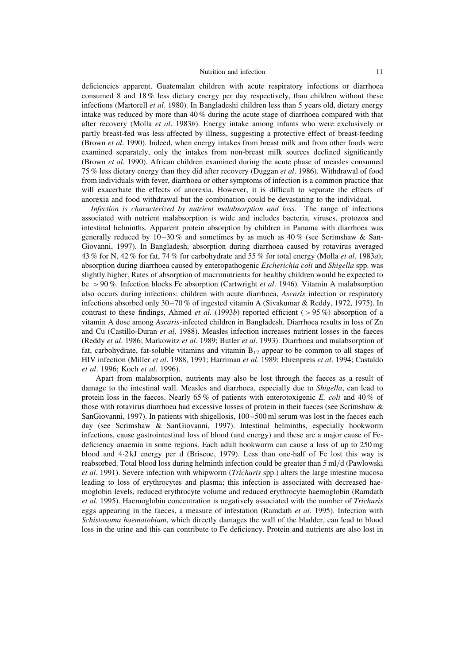deficiencies apparent. Guatemalan children with acute respiratory infections or diarrhoea consumed 8 and 18% less dietary energy per day respectively, than children without these infections (Martorell et al. 1980). In Bangladeshi children less than 5 years old, dietary energy intake was reduced by more than 40% during the acute stage of diarrhoea compared with that after recovery (Molla et al. 1983b). Energy intake among infants who were exclusively or partly breast-fed was less affected by illness, suggesting a protective effect of breast-feeding (Brown *et al.* 1990). Indeed, when energy intakes from breast milk and from other foods were examined separately, only the intakes from non-breast milk sources declined significantly (Brown *et al.* 1990). African children examined during the acute phase of measles consumed 75% less dietary energy than they did after recovery (Duggan et al. 1986). Withdrawal of food from individuals with fever, diarrhoea or other symptoms of infection is a common practice that will exacerbate the effects of anorexia. However, it is difficult to separate the effects of anorexia and food withdrawal but the combination could be devastating to the individual.

Infection is characterized by nutrient malabsorption and loss. The range of infections associated with nutrient malabsorption is wide and includes bacteria, viruses, protozoa and intestinal helminths. Apparent protein absorption by children in Panama with diarrhoea was generally reduced by  $10-30\%$  and sometimes by as much as  $40\%$  (see Scrimshaw & San-Giovanni, 1997). In Bangladesh, absorption during diarrhoea caused by rotavirus averaged 43 % for N, 42 % for fat, 74 % for carbohydrate and 55 % for total energy (Molla *et al.* 1983*a*); absorption during diarrhoea caused by enteropathogenic *Escherichia coli* and *Shigella* spp. was slightly higher. Rates of absorption of macronutrients for healthy children would be expected to be  $> 90\%$ . Infection blocks Fe absorption (Cartwright *et al.* 1946). Vitamin A malabsorption also occurs during infections: children with acute diarrhoea, Ascaris infection or respiratory infections absorbed only  $30-70\%$  of ingested vitamin A (Sivakumar & Reddy, 1972, 1975). In contrast to these findings, Ahmed *et al.* (1993*b*) reported efficient ( $> 95\%$ ) absorption of a vitamin A dose among Ascaris-infected children in Bangladesh. Diarrhoea results in loss of Zn and Cu (Castillo-Duran et al. 1988). Measles infection increases nutrient losses in the faeces (Reddy et al. 1986; Markowitz et al. 1989; Butler et al. 1993). Diarrhoea and malabsorption of fat, carbohydrate, fat-soluble vitamins and vitamin  $B_{12}$  appear to be common to all stages of HIV infection (Miller et al. 1988, 1991; Harriman et al. 1989; Ehrenpreis et al. 1994; Castaldo et al. 1996; Koch et al. 1996).

Apart from malabsorption, nutrients may also be lost through the facees as a result of damage to the intestinal wall. Measles and diarrhoea, especially due to Shigella, can lead to protein loss in the faeces. Nearly 65% of patients with enterotoxigenic E. coli and 40% of those with rotavirus diarrhoea had excessive losses of protein in their faeces (see Scrimshaw & SanGiovanni, 1997). In patients with shigellosis, 100–500 ml serum was lost in the facces each day (see Scrimshaw & SanGiovanni, 1997). Intestinal helminths, especially hookworm infections, cause gastrointestinal loss of blood (and energy) and these are a major cause of Fedeficiency anaemia in some regions. Each adult hookworm can cause a loss of up to 250 mg blood and  $4.2$  kJ energy per d (Briscoe, 1979). Less than one-half of Fe lost this way is reabsorbed. Total blood loss during helminth infection could be greater than 5 ml/d (Pawlowski et al. 1991). Severe infection with whipworm (*Trichuris* spp.) alters the large intestine mucosa leading to loss of erythrocytes and plasma; this infection is associated with decreased haemoglobin levels, reduced erythrocyte volume and reduced erythrocyte haemoglobin (Ramdath et al. 1995). Haemoglobin concentration is negatively associated with the number of *Trichuris* eggs appearing in the faeces, a measure of infestation (Ramdath et al. 1995). Infection with Schistosoma haematobium, which directly damages the wall of the bladder, can lead to blood loss in the urine and this can contribute to Fe deficiency. Protein and nutrients are also lost in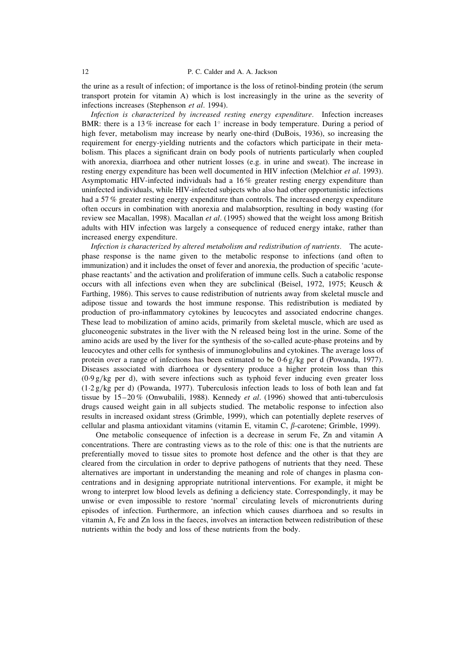the urine as a result of infection; of importance is the loss of retinol-binding protein (the serum transport protein for vitamin A) which is lost increasingly in the urine as the severity of infections increases (Stephenson et al. 1994).

Infection is characterized by increased resting energy expenditure. Infection increases BMR: there is a 13% increase for each  $1^{\circ}$  increase in body temperature. During a period of high fever, metabolism may increase by nearly one-third (DuBois, 1936), so increasing the requirement for energy-yielding nutrients and the cofactors which participate in their metabolism. This places a significant drain on body pools of nutrients particularly when coupled with anorexia, diarrhoea and other nutrient losses (e.g. in urine and sweat). The increase in resting energy expenditure has been well documented in HIV infection (Melchior et al. 1993). Asymptomatic HIV-infected individuals had a 16% greater resting energy expenditure than uninfected individuals, while HIV-infected subjects who also had other opportunistic infections had a 57% greater resting energy expenditure than controls. The increased energy expenditure often occurs in combination with anorexia and malabsorption, resulting in body wasting (for review see Macallan, 1998). Macallan et al. (1995) showed that the weight loss among British adults with HIV infection was largely a consequence of reduced energy intake, rather than increased energy expenditure.

Infection is characterized by altered metabolism and redistribution of nutrients. The acutephase response is the name given to the metabolic response to infections (and often to immunization) and it includes the onset of fever and anorexia, the production of specific 'acutephase reactants' and the activation and proliferation of immune cells. Such a catabolic response occurs with all infections even when they are subclinical (Beisel, 1972, 1975; Keusch & Farthing, 1986). This serves to cause redistribution of nutrients away from skeletal muscle and adipose tissue and towards the host immune response. This redistribution is mediated by production of pro-inflammatory cytokines by leucocytes and associated endocrine changes. These lead to mobilization of amino acids, primarily from skeletal muscle, which are used as gluconeogenic substrates in the liver with the N released being lost in the urine. Some of the amino acids are used by the liver for the synthesis of the so-called acute-phase proteins and by leucocytes and other cells for synthesis of immunoglobulins and cytokines. The average loss of protein over a range of infections has been estimated to be  $0.6 g/kg$  per d (Powanda, 1977). Diseases associated with diarrhoea or dysentery produce a higher protein loss than this  $(0.9 g/kg$  per d), with severe infections such as typhoid fever inducing even greater loss  $(1.2 g/kg$  per d) (Powanda, 1977). Tuberculosis infection leads to loss of both lean and fat tissue by  $15-20\%$  (Onwubalili, 1988). Kennedy *et al.* (1996) showed that anti-tuberculosis drugs caused weight gain in all subjects studied. The metabolic response to infection also results in increased oxidant stress (Grimble, 1999), which can potentially deplete reserves of cellular and plasma antioxidant vitamins (vitamin E, vitamin C,  $\beta$ -carotene; Grimble, 1999).

One metabolic consequence of infection is a decrease in serum Fe, Zn and vitamin A concentrations. There are contrasting views as to the role of this: one is that the nutrients are preferentially moved to tissue sites to promote host defence and the other is that they are cleared from the circulation in order to deprive pathogens of nutrients that they need. These alternatives are important in understanding the meaning and role of changes in plasma concentrations and in designing appropriate nutritional interventions. For example, it might be wrong to interpret low blood levels as defining a deficiency state. Correspondingly, it may be unwise or even impossible to restore 'normal' circulating levels of micronutrients during episodes of infection. Furthermore, an infection which causes diarrhoea and so results in vitamin A, Fe and Zn loss in the faeces, involves an interaction between redistribution of these nutrients within the body and loss of these nutrients from the body.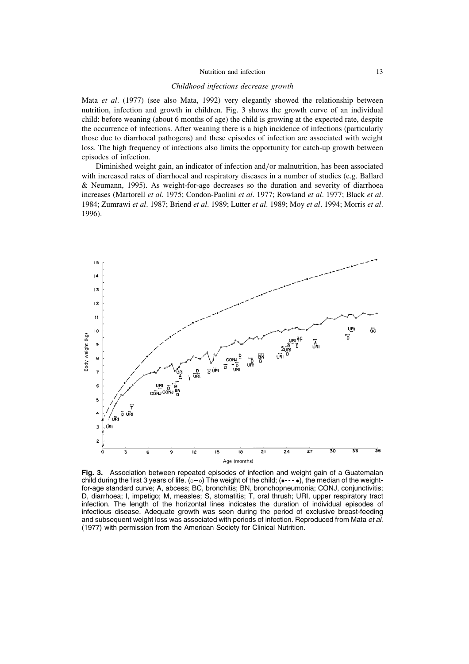# Childhood infections decrease growth

Mata et al. (1977) (see also Mata, 1992) very elegantly showed the relationship between nutrition, infection and growth in children. Fig. 3 shows the growth curve of an individual child: before weaning (about 6 months of age) the child is growing at the expected rate, despite the occurrence of infections. After weaning there is a high incidence of infections (particularly those due to diarrhoeal pathogens) and these episodes of infection are associated with weight loss. The high frequency of infections also limits the opportunity for catch-up growth between episodes of infection.

Diminished weight gain, an indicator of infection and/or malnutrition, has been associated with increased rates of diarrhoeal and respiratory diseases in a number of studies (e.g. Ballard & Neumann, 1995). As weight-for-age decreases so the duration and severity of diarrhoea increases (Martorell et al. 1975; Condon-Paolini et al. 1977; Rowland et al. 1977; Black et al. 1984; Zumrawi et al. 1987; Briend et al. 1989; Lutter et al. 1989; Moy et al. 1994; Morris et al. 1996).



Fig. 3. Association between repeated episodes of infection and weight gain of a Guatemalan child during the first 3 years of life.  $(o - o)$  The weight of the child;  $(\bullet - \cdot \bullet)$ , the median of the weightfor-age standard curve; A, abcess; BC, bronchitis; BN, bronchopneumonia; CONJ, conjunctivitis; D, diarrhoea; I, impetigo; M, measles; S, stomatitis; T, oral thrush; URI, upper respiratory tract infection. The length of the horizontal lines indicates the duration of individual episodes of infectious disease. Adequate growth was seen during the period of exclusive breast-feeding and subsequent weight loss was associated with periods of infection. Reproduced from Mata et al. (1977) with permission from the American Society for Clinical Nutrition.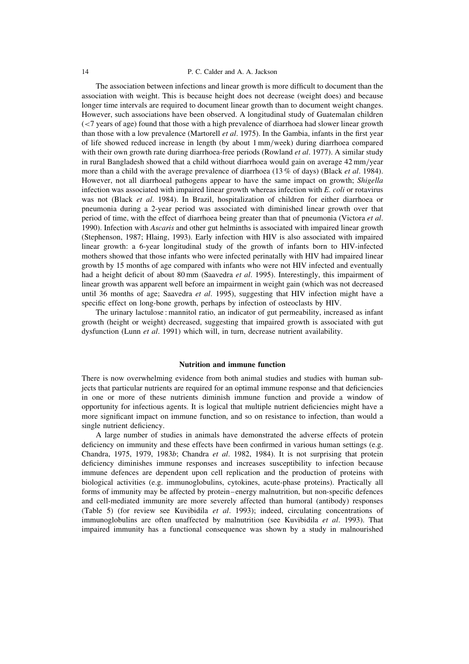### P. C. Calder and A. A. Jackson

The association between infections and linear growth is more difficult to document than the association with weight. This is because height does not decrease (weight does) and because longer time intervals are required to document linear growth than to document weight changes. However, such associations have been observed. A longitudinal study of Guatemalan children (<7 years of age) found that those with a high prevalence of diarrhoea had slower linear growth than those with a low prevalence (Martorell *et al.* 1975). In the Gambia, infants in the first year of life showed reduced increase in length (by about 1 mm/week) during diarrhoea compared with their own growth rate during diarrhoea-free periods (Rowland *et al.* 1977). A similar study in rural Bangladesh showed that a child without diarrhoea would gain on average 42 mm/year more than a child with the average prevalence of diarrhoea (13 % of days) (Black *et al.* 1984). However, not all diarrhoeal pathogens appear to have the same impact on growth; Shigella infection was associated with impaired linear growth whereas infection with E. coli or rotavirus was not (Black et al. 1984). In Brazil, hospitalization of children for either diarrhoea or pneumonia during a 2-year period was associated with diminished linear growth over that period of time, with the effect of diarrhoea being greater than that of pneumonia (Victora et al. 1990). Infection with *Ascaris* and other gut helminths is associated with impaired linear growth (Stephenson, 1987; Hlaing, 1993). Early infection with HIV is also associated with impaired linear growth: a 6-year longitudinal study of the growth of infants born to HIV-infected mothers showed that those infants who were infected perinatally with HIV had impaired linear growth by 15 months of age compared with infants who were not HIV infected and eventually had a height deficit of about 80 mm (Saavedra et al. 1995). Interestingly, this impairment of linear growth was apparent well before an impairment in weight gain (which was not decreased until 36 months of age; Saavedra et al. 1995), suggesting that HIV infection might have a specific effect on long-bone growth, perhaps by infection of osteoclasts by HIV.

The urinary lactulose: mannitol ratio, an indicator of gut permeability, increased as infant growth (height or weight) decreased, suggesting that impaired growth is associated with gut dysfunction (Lunn et al. 1991) which will, in turn, decrease nutrient availability.

#### **Nutrition and immune function**

There is now overwhelming evidence from both animal studies and studies with human subjects that particular nutrients are required for an optimal immune response and that deficiencies in one or more of these nutrients diminish immune function and provide a window of opportunity for infectious agents. It is logical that multiple nutrient deficiencies might have a more significant impact on immune function, and so on resistance to infection, than would a single nutrient deficiency.

A large number of studies in animals have demonstrated the adverse effects of protein deficiency on immunity and these effects have been confirmed in various human settings (e.g. Chandra, 1975, 1979, 1983b; Chandra et al. 1982, 1984). It is not surprising that protein deficiency diminishes immune responses and increases susceptibility to infection because immune defences are dependent upon cell replication and the production of proteins with biological activities (e.g. immunoglobulins, cytokines, acute-phase proteins). Practically all forms of immunity may be affected by protein–energy malnutrition, but non-specific defences and cell-mediated immunity are more severely affected than humoral (antibody) responses (Table 5) (for review see Kuvibidila *et al.* 1993); indeed, circulating concentrations of immunoglobulins are often unaffected by malnutrition (see Kuvibidila et al. 1993). That impaired immunity has a functional consequence was shown by a study in malnourished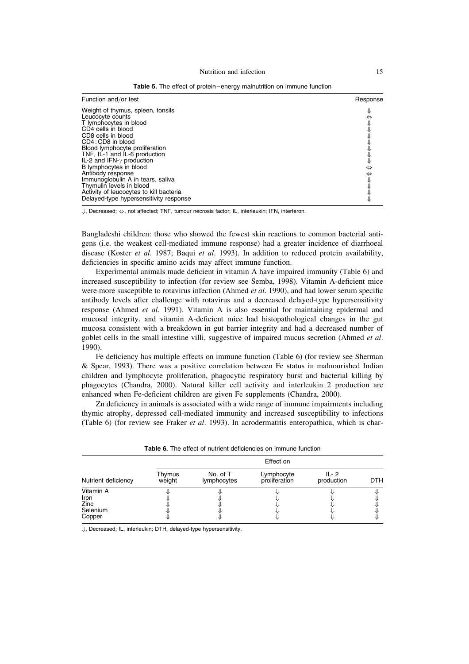Table 5. The effect of protein-energy malnutrition on immune function

| Function and/or test                    | Response |
|-----------------------------------------|----------|
| Weight of thymus, spleen, tonsils       |          |
| Leucocyte counts                        |          |
| T lymphocytes in blood                  |          |
| CD4 cells in blood                      |          |
| CD8 cells in blood                      |          |
| CD4: CD8 in blood                       |          |
| Blood lymphocyte proliferation          |          |
| TNF, IL-1 and IL-6 production           |          |
| IL-2 and IFN- $\gamma$ production       |          |
| B lymphocytes in blood                  | ⇔        |
| Antibody response                       | ⇔        |
| Immunoglobulin A in tears, saliva       |          |
| Thymulin levels in blood                |          |
| Activity of leucocytes to kill bacteria |          |
| Delayed-type hypersensitivity response  |          |

 $\Downarrow$ , Decreased;  $\Leftrightarrow$ , not affected; TNF, tumour necrosis factor; IL, interleukin; IFN, interferon.

Bangladeshi children: those who showed the fewest skin reactions to common bacterial antigens (i.e. the weakest cell-mediated immune response) had a greater incidence of diarrhoeal disease (Koster et al. 1987; Baqui et al. 1993). In addition to reduced protein availability, deficiencies in specific amino acids may affect immune function.

Experimental animals made deficient in vitamin A have impaired immunity (Table 6) and increased susceptibility to infection (for review see Semba, 1998). Vitamin A-deficient mice were more susceptible to rotavirus infection (Ahmed et al. 1990), and had lower serum specific antibody levels after challenge with rotavirus and a decreased delayed-type hypersensitivity response (Ahmed et al. 1991). Vitamin A is also essential for maintaining epidermal and mucosal integrity, and vitamin A-deficient mice had histopathological changes in the gut mucosa consistent with a breakdown in gut barrier integrity and had a decreased number of goblet cells in the small intestine villi, suggestive of impaired mucus secretion (Ahmed et al. 1990).

Fe deficiency has multiple effects on immune function (Table 6) (for review see Sherman & Spear, 1993). There was a positive correlation between Fe status in malnourished Indian children and lymphocyte proliferation, phagocytic respiratory burst and bacterial killing by phagocytes (Chandra, 2000). Natural killer cell activity and interleukin 2 production are enhanced when Fe-deficient children are given Fe supplements (Chandra, 2000).

Zn deficiency in animals is associated with a wide range of immune impairments including thymic atrophy, depressed cell-mediated immunity and increased susceptibility to infections (Table 6) (for review see Fraker et al. 1993). In acrodermatitis enteropathica, which is char-

|                                                        |                  |                         | Effect on                   |                    |            |
|--------------------------------------------------------|------------------|-------------------------|-----------------------------|--------------------|------------|
| Nutrient deficiency                                    | Thymus<br>weight | No. of T<br>lymphocytes | Lymphocyte<br>proliferation | IL-2<br>production | <b>DTH</b> |
| Vitamin A<br><b>Iron</b><br>Zinc<br>Selenium<br>Copper |                  |                         |                             |                    |            |

|  |  |  |  |  | <b>Table 6.</b> The effect of nutrient deficiencies on immune function |  |  |  |
|--|--|--|--|--|------------------------------------------------------------------------|--|--|--|
|--|--|--|--|--|------------------------------------------------------------------------|--|--|--|

#, Decreased; IL, interleukin; DTH, delayed-type hypersensitivity.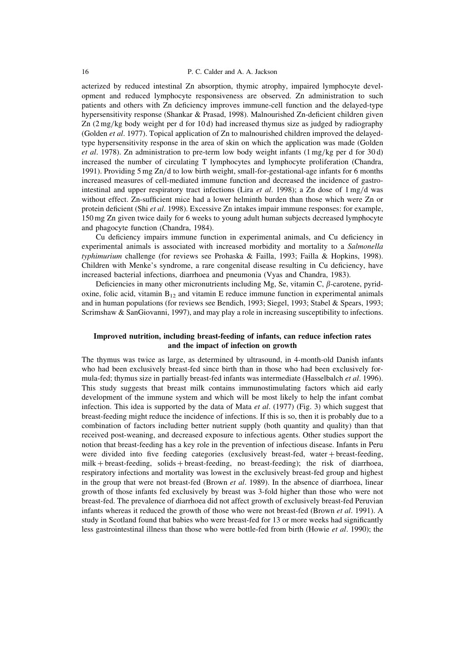### P. C. Calder and A. A. Jackson

acterized by reduced intestinal Zn absorption, thymic atrophy, impaired lymphocyte development and reduced lymphocyte responsiveness are observed. Zn administration to such patients and others with Zn deficiency improves immune-cell function and the delayed-type hypersensitivity response (Shankar & Prasad, 1998). Malnourished Zn-deficient children given Zn  $(2 \text{ mg/kg}$  body weight per d for 10d) had increased thymus size as judged by radiography (Golden et al. 1977). Topical application of Zn to malnourished children improved the delayedtype hypersensitivity response in the area of skin on which the application was made (Golden *et al.* 1978). Zn administration to pre-term low body weight infants  $(1 \text{ mg/kg} \text{ per d for } 30 \text{ d})$ increased the number of circulating T lymphocytes and lymphocyte proliferation (Chandra, 1991). Providing 5 mg Zn/d to low birth weight, small-for-gestational-age infants for 6 months increased measures of cell-mediated immune function and decreased the incidence of gastrointestinal and upper respiratory tract infections (Lira *et al.* 1998); a Zn dose of  $1 \text{ mg/d}$  was without effect. Zn-sufficient mice had a lower helminth burden than those which were Zn or protein deficient (Shi et al. 1998). Excessive Zn intakes impair immune responses: for example, 150 mg Zn given twice daily for 6 weeks to young adult human subjects decreased lymphocyte and phagocyte function (Chandra, 1984).

Cu deficiency impairs immune function in experimental animals, and Cu deficiency in experimental animals is associated with increased morbidity and mortality to a Salmonella typhimurium challenge (for reviews see Prohaska & Failla, 1993; Failla & Hopkins, 1998). Children with Menke's syndrome, a rare congenital disease resulting in Cu deficiency, have increased bacterial infections, diarrhoea and pneumonia (Vyas and Chandra, 1983).

Deficiencies in many other micronutrients including Mg, Se, vitamin C,  $\beta$ -carotene, pyridoxine, folic acid, vitamin  $B_{12}$  and vitamin E reduce immune function in experimental animals and in human populations (for reviews see Bendich, 1993; Siegel, 1993; Stabel & Spears, 1993; Scrimshaw & SanGiovanni, 1997), and may play a role in increasing susceptibility to infections.

# Improved nutrition, including breast-feeding of infants, can reduce infection rates and the impact of infection on growth

The thymus was twice as large, as determined by ultrasound, in 4-month-old Danish infants who had been exclusively breast-fed since birth than in those who had been exclusively formula-fed; thymus size in partially breast-fed infants was intermediate (Hasselbalch et al. 1996). This study suggests that breast milk contains immunostimulating factors which aid early development of the immune system and which will be most likely to help the infant combat infection. This idea is supported by the data of Mata *et al.*  $(1977)$  (Fig. 3) which suggest that breast-feeding might reduce the incidence of infections. If this is so, then it is probably due to a combination of factors including better nutrient supply (both quantity and quality) than that received post-weaning, and decreased exposure to infectious agents. Other studies support the notion that breast-feeding has a key role in the prevention of infectious disease. Infants in Peru were divided into five feeding categories (exclusively breast-fed, water + breast-feeding, milk + breast-feeding, solids + breast-feeding, no breast-feeding); the risk of diarrhoea, respiratory infections and mortality was lowest in the exclusively breast-fed group and highest in the group that were not breast-fed (Brown *et al.* 1989). In the absence of diarrhoea, linear growth of those infants fed exclusively by breast was 3-fold higher than those who were not breast-fed. The prevalence of diarrhoea did not affect growth of exclusively breast-fed Peruvian infants whereas it reduced the growth of those who were not breast-fed (Brown *et al.* 1991). A study in Scotland found that babies who were breast-fed for 13 or more weeks had significantly less gastrointestinal illness than those who were bottle-fed from birth (Howie et al. 1990); the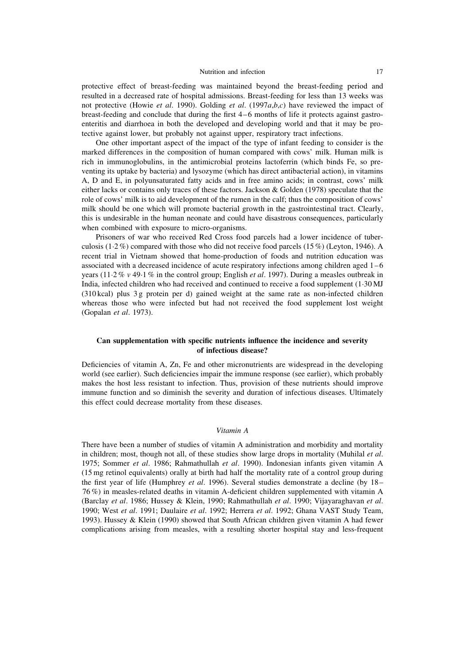protective effect of breast-feeding was maintained beyond the breast-feeding period and resulted in a decreased rate of hospital admissions. Breast-feeding for less than 13 weeks was not protective (Howie et al. 1990). Golding et al.  $(1997a,b,c)$  have reviewed the impact of breast-feeding and conclude that during the first  $4-6$  months of life it protects against gastroenteritis and diarrhoea in both the developed and developing world and that it may be protective against lower, but probably not against upper, respiratory tract infections.

One other important aspect of the impact of the type of infant feeding to consider is the marked differences in the composition of human compared with cows' milk. Human milk is rich in immunoglobulins, in the antimicrobial proteins lactoferrin (which binds Fe, so preventing its uptake by bacteria) and lysozyme (which has direct antibacterial action), in vitamins A, D and E, in polyunsaturated fatty acids and in free amino acids; in contrast, cows' milk either lacks or contains only traces of these factors. Jackson & Golden  $(1978)$  speculate that the role of cows' milk is to aid development of the rumen in the calf; thus the composition of cows' milk should be one which will promote bacterial growth in the gastrointestinal tract. Clearly, this is undesirable in the human neonate and could have disastrous consequences, particularly when combined with exposure to micro-organisms.

Prisoners of war who received Red Cross food parcels had a lower incidence of tuberculosis (1.2%) compared with those who did not receive food parcels (15%) (Leyton, 1946). A recent trial in Vietnam showed that home-production of foods and nutrition education was associated with a decreased incidence of acute respiratory infections among children aged  $1-6$ years (11.2 %  $\nu$  49.1 % in the control group; English *et al.* 1997). During a measles outbreak in India, infected children who had received and continued to receive a food supplement  $(1.30 \text{ MJ})$ (310 kcal) plus 3g protein per d) gained weight at the same rate as non-infected children whereas those who were infected but had not received the food supplement lost weight (Gopalan et al. 1973).

# Can supplementation with specific nutrients influence the incidence and severity of infectious disease?

Deficiencies of vitamin A, Zn, Fe and other micronutrients are widespread in the developing world (see earlier). Such deficiencies impair the immune response (see earlier), which probably makes the host less resistant to infection. Thus, provision of these nutrients should improve immune function and so diminish the severity and duration of infectious diseases. Ultimately this effect could decrease mortality from these diseases.

# Vitamin A

There have been a number of studies of vitamin A administration and morbidity and mortality in children; most, though not all, of these studies show large drops in mortality (Muhilal *et al.*) 1975; Sommer et al. 1986; Rahmathullah et al. 1990). Indonesian infants given vitamin A (15 mg retinol equivalents) orally at birth had half the mortality rate of a control group during the first year of life (Humphrey *et al.* 1996). Several studies demonstrate a decline (by  $18$ – 76%) in measles-related deaths in vitamin A-deficient children supplemented with vitamin A (Barclay et al. 1986; Hussey & Klein, 1990; Rahmathullah et al. 1990; Vijayaraghavan et al. 1990; West et al. 1991; Daulaire et al. 1992; Herrera et al. 1992; Ghana VAST Study Team, 1993). Hussey & Klein (1990) showed that South African children given vitamin A had fewer complications arising from measles, with a resulting shorter hospital stay and less-frequent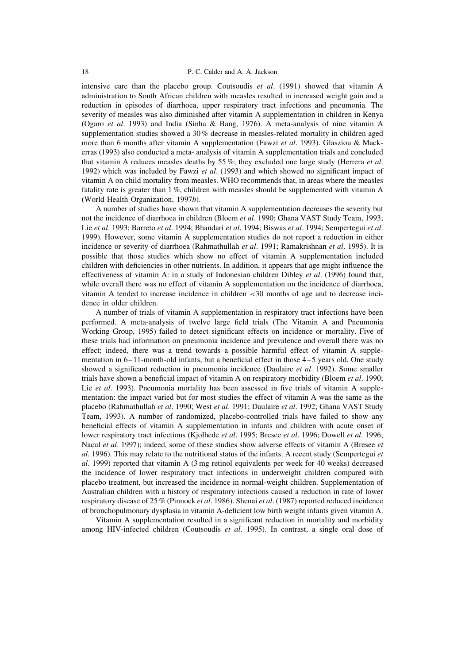intensive care than the placebo group. Coutsoudis *et al.* (1991) showed that vitamin A administration to South African children with measles resulted in increased weight gain and a reduction in episodes of diarrhoea, upper respiratory tract infections and pneumonia. The severity of measles was also diminished after vitamin A supplementation in children in Kenya (Ogaro et al. 1993) and India (Sinha & Bang, 1976). A meta-analysis of nine vitamin A supplementation studies showed a 30% decrease in measles-related mortality in children aged more than 6 months after vitamin A supplementation (Fawzi et al. 1993). Glasziou & Mackerras (1993) also conducted a meta-analysis of vitamin A supplementation trials and concluded that vitamin A reduces measles deaths by 55%; they excluded one large study (Herrera *et al.* 1992) which was included by Fawzi et al. (1993) and which showed no significant impact of vitamin A on child mortality from measles. WHO recommends that, in areas where the measles fatality rate is greater than 1%, children with measles should be supplemented with vitamin A (World Health Organization, 1997b).

A number of studies have shown that vitamin A supplementation decreases the severity but not the incidence of diarrhoea in children (Bloem et al. 1990; Ghana VAST Study Team, 1993; Lie et al. 1993; Barreto et al. 1994; Bhandari et al. 1994; Biswas et al. 1994; Sempertegui et al. 1999). However, some vitamin A supplementation studies do not report a reduction in either incidence or severity of diarrhoea (Rahmathullah et al. 1991; Ramakrishnan et al. 1995). It is possible that those studies which show no effect of vitamin A supplementation included children with deficiencies in other nutrients. In addition, it appears that age might influence the effectiveness of vitamin A: in a study of Indonesian children Dibley et al. (1996) found that, while overall there was no effect of vitamin A supplementation on the incidence of diarrhoea, vitamin A tended to increase incidence in children  $\lt 30$  months of age and to decrease incidence in older children.

A number of trials of vitamin A supplementation in respiratory tract infections have been performed. A meta-analysis of twelve large field trials (The Vitamin A and Pneumonia Working Group, 1995) failed to detect significant effects on incidence or mortality. Five of these trials had information on pneumonia incidence and prevalence and overall there was no effect; indeed, there was a trend towards a possible harmful effect of vitamin A supplementation in  $6-11$ -month-old infants, but a beneficial effect in those  $4-5$  years old. One study showed a significant reduction in pneumonia incidence (Daulaire et al. 1992). Some smaller trials have shown a beneficial impact of vitamin A on respiratory morbidity (Bloem et al. 1990; Lie et al. 1993). Pneumonia mortality has been assessed in five trials of vitamin A supplementation: the impact varied but for most studies the effect of vitamin A was the same as the placebo (Rahmathullah et al. 1990; West et al. 1991; Daulaire et al. 1992; Ghana VAST Study Team, 1993). A number of randomized, placebo-controlled trials have failed to show any beneficial effects of vitamin A supplementation in infants and children with acute onset of lower respiratory tract infections (Kjolhede et al. 1995; Bresee et al. 1996; Dowell et al. 1996; Nacul et al. 1997); indeed, some of these studies show adverse effects of vitamin A (Bresee et al. 1996). This may relate to the nutritional status of the infants. A recent study (Sempertegui et al. 1999) reported that vitamin A (3 mg retinol equivalents per week for 40 weeks) decreased the incidence of lower respiratory tract infections in underweight children compared with placebo treatment, but increased the incidence in normal-weight children. Supplementation of Australian children with a history of respiratory infections caused a reduction in rate of lower respiratory disease of 25 % (Pinnock et al. 1986). Shenai et al. (1987) reported reduced incidence of bronchopulmonary dysplasia in vitamin A-deficient low birth weight infants given vitamin A.

Vitamin A supplementation resulted in a significant reduction in mortality and morbidity among HIV-infected children (Coutsoudis et al. 1995). In contrast, a single oral dose of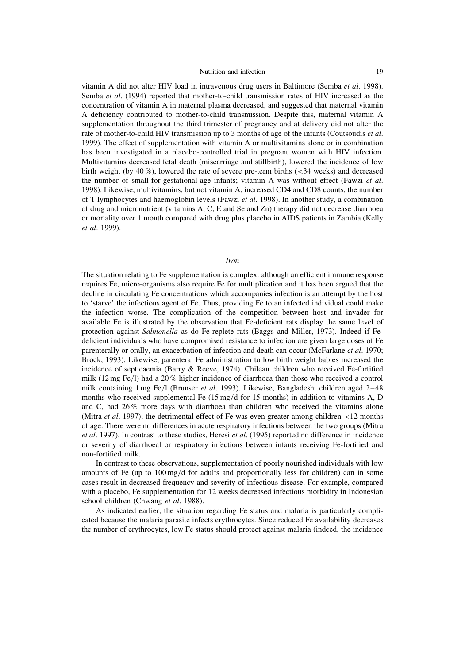vitamin A did not alter HIV load in intravenous drug users in Baltimore (Semba et al. 1998). Semba et al. (1994) reported that mother-to-child transmission rates of HIV increased as the concentration of vitamin A in maternal plasma decreased, and suggested that maternal vitamin A deficiency contributed to mother-to-child transmission. Despite this, maternal vitamin A supplementation throughout the third trimester of pregnancy and at delivery did not alter the rate of mother-to-child HIV transmission up to 3 months of age of the infants (Coutsoudis et al. 1999). The effect of supplementation with vitamin A or multivitamins alone or in combination has been investigated in a placebo-controlled trial in pregnant women with HIV infection. Multivitamins decreased fetal death (miscarriage and stillbirth), lowered the incidence of low birth weight (by  $40\%$ ), lowered the rate of severe pre-term births (<34 weeks) and decreased the number of small-for-gestational-age infants; vitamin A was without effect (Fawzi et al. 1998). Likewise, multivitamins, but not vitamin A, increased CD4 and CD8 counts, the number of T lymphocytes and haemoglobin levels (Fawzi et al. 1998). In another study, a combination of drug and micronutrient (vitamins A, C, E and Se and Zn) therapy did not decrease diarrhoea or mortality over 1 month compared with drug plus placebo in AIDS patients in Zambia (Kelly et al. 1999).

#### **Iron**

The situation relating to Fe supplementation is complex: although an efficient immune response requires Fe, micro-organisms also require Fe for multiplication and it has been argued that the decline in circulating Fe concentrations which accompanies infection is an attempt by the host to 'starve' the infectious agent of Fe. Thus, providing Fe to an infected individual could make the infection worse. The complication of the competition between host and invader for available Fe is illustrated by the observation that Fe-deficient rats display the same level of protection against Salmonella as do Fe-replete rats (Baggs and Miller, 1973). Indeed if Fedeficient individuals who have compromised resistance to infection are given large doses of Fe parenterally or orally, an exacerbation of infection and death can occur (McFarlane et al. 1970; Brock, 1993). Likewise, parenteral Fe administration to low birth weight babies increased the incidence of septicaemia (Barry & Reeve, 1974). Chilean children who received Fe-fortified milk (12 mg Fe/l) had a 20 % higher incidence of diarrhoea than those who received a control milk containing 1 mg Fe/l (Brunser et al. 1993). Likewise, Bangladeshi children aged  $2-48$ months who received supplemental Fe  $(15 \text{ mg/d}$  for 15 months) in addition to vitamins A, D and C, had 26% more days with diarrhoea than children who received the vitamins alone (Mitra *et al.* 1997); the detrimental effect of Fe was even greater among children  $\lt$ 12 months of age. There were no differences in acute respiratory infections between the two groups (Mitra et al. 1997). In contrast to these studies, Heresi et al. (1995) reported no difference in incidence or severity of diarrhoeal or respiratory infections between infants receiving Fe-fortified and non-fortified milk.

In contrast to these observations, supplementation of poorly nourished individuals with low amounts of Fe (up to  $100 \,\mathrm{mg/d}$  for adults and proportionally less for children) can in some cases result in decreased frequency and severity of infectious disease. For example, compared with a placebo, Fe supplementation for 12 weeks decreased infectious morbidity in Indonesian school children (Chwang et al. 1988).

As indicated earlier, the situation regarding Fe status and malaria is particularly complicated because the malaria parasite infects erythrocytes. Since reduced Fe availability decreases the number of erythrocytes, low Fe status should protect against malaria (indeed, the incidence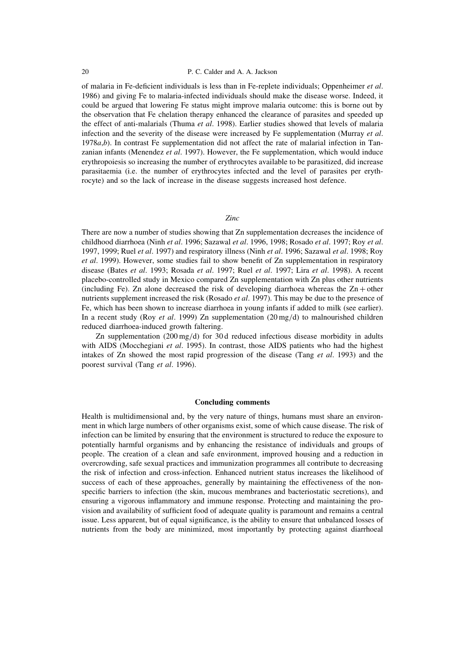of malaria in Fe-deficient individuals is less than in Fe-replete individuals: Oppenheimer et al. 1986) and giving Fe to malaria-infected individuals should make the disease worse. Indeed, it could be argued that lowering Fe status might improve malaria outcome: this is borne out by the observation that Fe chelation therapy enhanced the clearance of parasites and speeded up the effect of anti-malarials (Thuma et al. 1998). Earlier studies showed that levels of malaria infection and the severity of the disease were increased by Fe supplementation (Murray et al.  $1978a,b$ ). In contrast Fe supplementation did not affect the rate of malarial infection in Tanzanian infants (Menendez et al. 1997). However, the Fe supplementation, which would induce erythropoiesis so increasing the number of erythrocytes available to be parasitized, did increase parasitaemia (i.e. the number of erythrocytes infected and the level of parasites per erythrocyte) and so the lack of increase in the disease suggests increased host defence.

# Zinc

There are now a number of studies showing that Zn supplementation decreases the incidence of childhood diarrhoea (Ninh et al. 1996; Sazawal et al. 1996, 1998; Rosado et al. 1997; Roy et al. 1997, 1999; Ruel et al. 1997) and respiratory illness (Ninh et al. 1996; Sazawal et al. 1998; Roy *et al.* 1999). However, some studies fail to show benefit of Zn supplementation in respiratory disease (Bates et al. 1993; Rosada et al. 1997; Ruel et al. 1997; Lira et al. 1998). A recent placebo-controlled study in Mexico compared Zn supplementation with Zn plus other nutrients (including Fe). Zn alone decreased the risk of developing diarrhoea whereas the  $\text{Zn}$  + other nutrients supplement increased the risk (Rosado *et al.* 1997). This may be due to the presence of Fe, which has been shown to increase diarrhoea in young infants if added to milk (see earlier). In a recent study (Roy et al. 1999) Zn supplementation  $(20 \text{ mg/d})$  to malnourished children reduced diarrhoea-induced growth faltering.

Zn supplementation  $(200 \text{ mg/d})$  for 30 d reduced infectious disease morbidity in adults with AIDS (Mocchegiani et al. 1995). In contrast, those AIDS patients who had the highest intakes of Zn showed the most rapid progression of the disease (Tang et al. 1993) and the poorest survival (Tang et al. 1996).

## **Concluding comments**

Health is multidimensional and, by the very nature of things, humans must share an environment in which large numbers of other organisms exist, some of which cause disease. The risk of infection can be limited by ensuring that the environment is structured to reduce the exposure to potentially harmful organisms and by enhancing the resistance of individuals and groups of people. The creation of a clean and safe environment, improved housing and a reduction in overcrowding, safe sexual practices and immunization programmes all contribute to decreasing the risk of infection and cross-infection. Enhanced nutrient status increases the likelihood of success of each of these approaches, generally by maintaining the effectiveness of the nonspecific barriers to infection (the skin, mucous membranes and bacteriostatic secretions), and ensuring a vigorous inflammatory and immune response. Protecting and maintaining the provision and availability of sufficient food of adequate quality is paramount and remains a central issue. Less apparent, but of equal significance, is the ability to ensure that unbalanced losses of nutrients from the body are minimized, most importantly by protecting against diarrhoeal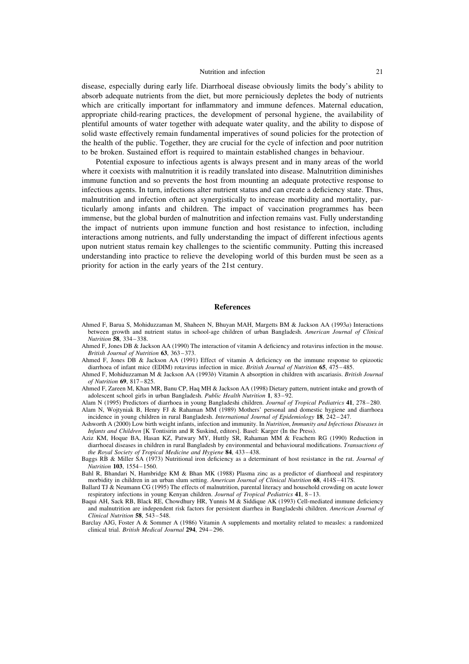disease, especially during early life. Diarrhoeal disease obviously limits the body's ability to absorb adequate nutrients from the diet, but more perniciously depletes the body of nutrients which are critically important for inflammatory and immune defences. Maternal education, appropriate child-rearing practices, the development of personal hygiene, the availability of plentiful amounts of water together with adequate water quality, and the ability to dispose of solid waste effectively remain fundamental imperatives of sound policies for the protection of the health of the public. Together, they are crucial for the cycle of infection and poor nutrition to be broken. Sustained effort is required to maintain established changes in behaviour.

Potential exposure to infectious agents is always present and in many areas of the world where it coexists with malnutrition it is readily translated into disease. Malnutrition diminishes immune function and so prevents the host from mounting an adequate protective response to infectious agents. In turn, infections alter nutrient status and can create a deficiency state. Thus, malnutrition and infection often act synergistically to increase morbidity and mortality, particularly among infants and children. The impact of vaccination programmes has been immense, but the global burden of malnutrition and infection remains vast. Fully understanding the impact of nutrients upon immune function and host resistance to infection, including interactions among nutrients, and fully understanding the impact of different infectious agents upon nutrient status remain key challenges to the scientific community. Putting this increased understanding into practice to relieve the developing world of this burden must be seen as a priority for action in the early years of the 21st century.

### **References**

- Ahmed F, Barua S, Mohiduzzaman M, Shaheen N, Bhuyan MAH, Margetts BM & Jackson AA (1993a) Interactions between growth and nutrient status in school-age children of urban Bangladesh. American Journal of Clinical Nutrition 58, 334-338.
- Ahmed F, Jones DB & Jackson AA (1990) The interaction of vitamin A deficiency and rotavirus infection in the mouse. British Journal of Nutrition 63, 363-373.
- Ahmed F, Jones DB & Jackson AA (1991) Effect of vitamin A deficiency on the immune response to epizootic diarrhoea of infant mice (EDIM) rotavirus infection in mice. British Journal of Nutrition 65, 475-485.
- Ahmed F, Mohiduzzaman M & Jackson AA (1993b) Vitamin A absorption in children with ascariasis. British Journal of Nutrition 69, 817-825.
- Ahmed F, Zareen M, Khan MR, Banu CP, Haq MH & Jackson AA (1998) Dietary pattern, nutrient intake and growth of adolescent school girls in urban Bangladesh. Public Health Nutrition 1, 83-92.

Alam N (1995) Predictors of diarrhoea in young Bangladeshi children. Journal of Tropical Pediatrics 41, 278-280. Alam N, Wojtyniak B, Henry FJ & Rahaman MM (1989) Mothers' personal and domestic hygiene and diarrhoea

incidence in young children in rural Bangladesh. *International Journal of Epidemiology* 18,  $242 - 247$ . Ashworth A (2000) Low birth weight infants, infection and immunity. In Nutrition, Immunity and Infectious Diseases in

- Infants and Children [K Tontisirin and R Suskind, editors]. Basel: Karger (In the Press).
- Aziz KM, Hoque BA, Hasan KZ, Patwary MY, Huttly SR, Rahaman MM & Feachem RG (1990) Reduction in diarrhoeal diseases in children in rural Bangladesh by environmental and behavioural modifications. Transactions of the Royal Society of Tropical Medicine and Hygiene 84, 433-438.
- Baggs RB & Miller SA (1973) Nutritional iron deficiency as a determinant of host resistance in the rat. Journal of Nutrition 103, 1554-1560.
- Bahl R, Bhandari N, Hambridge KM & Bhan MK (1988) Plasma zinc as a predictor of diarrhoeal and respiratory morbidity in children in an urban slum setting. American Journal of Clinical Nutrition 68, 414S-417S.
- Ballard TJ & Neumann CG (1995) The effects of malnutrition, parental literacy and household crowding on acute lower respiratory infections in young Kenyan children. Journal of Tropical Pediatrics 41,  $8-13$ .
- Baqui AH, Sack RB, Black RE, Chowdhury HR, Yunnis M & Siddique AK (1993) Cell-mediated immune deficiency and malnutrition are independent risk factors for persistent diarrhea in Bangladeshi children. American Journal of Clinical Nutrition 58,  $543 - 548$ .
- Barclay AJG, Foster A & Sommer A (1986) Vitamin A supplements and mortality related to measles: a randomized clinical trial. British Medical Journal 294, 294-296.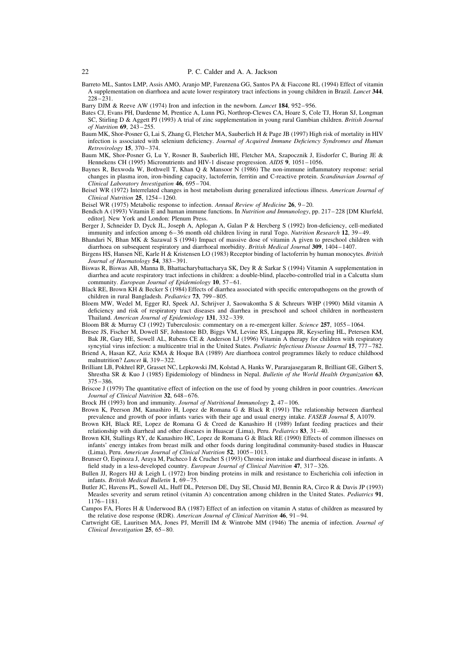- Barreto ML, Santos LMP, Assis AMO, Aranjo MP, Farenzena GG, Santos PA & Fiaccone RL (1994) Effect of vitamin A supplementation on diarrhoea and acute lower respiratory tract infections in young children in Brazil. *Lancet* 344.  $228 - 231$ .
- Barry DJM & Reeve AW (1974) Iron and infection in the newborn. Lancet 184, 952-956.
- Bates CJ, Evans PH, Dardenne M, Prentice A, Lunn PG, Northrop-Clewes CA, Hoare S, Cole TJ, Horan SJ, Longman SC, Stirling D & Aggett PJ (1993) A trial of zinc supplementation in young rural Gambian children. British Journal of Nutrition  $69. 243 - 255$ .
- Baum MK, Shor-Posner G, Lai S, Zhang G, Fletcher MA, Sauberlich H & Page JB (1997) High risk of mortality in HIV infection is associated with selenium deficiency. Journal of Acquired Immune Deficiency Syndromes and Human Retrovirology 15, 370-374.
- Baum MK, Shor-Posner G, Lu Y, Rosner B, Sauberlich HE, Fletcher MA, Szapocznik J, Eisdorfer C, Buring JE & Hennekens CH (1995) Micronutrients and HIV-1 disease progression. AIDS 9, 1051-1056.
- Baynes R, Bexwoda W, Bothwell T, Khan Q & Mansoor N (1986) The non-immune inflammatory response: serial changes in plasma iron, iron-binding capacity, lactoferrin, ferritin and C-reactive protein. Scandinavian Journal of Clinical Laboratory Investigation 46, 695-704.
- Beisel WR (1972) Interrelated changes in host metabolism during generalized infectious illness. American Journal of Clinical Nutrition 25, 1254-1260.

Beisel WR (1975) Metabolic response to infection. Annual Review of Medicine  $26$ ,  $9-20$ .

- Bendich A (1993) Vitamin E and human immune functions. In Nutrition and Immunology, pp. 217-228 [DM Klurfeld, editor]. New York and London: Plenum Press.
- Berger J, Schneider D, Dyck JL, Joseph A, Aplogan A, Galan P & Hercberg S (1992) Iron-deficiency, cell-mediated immunity and infection among 6-36 month old children living in rural Togo. Nutrition Research 12, 39-49.
- Bhandari N, Bhan MK & Sazawal S (1994) Impact of massive dose of vitamin A given to preschool children with diarrhoea on subsequent respiratory and diarrhoeal morbidity. British Medical Journal 309, 1404–1407.
- Birgens HS, Hansen NE, Karle H & Kristensen LO (1983) Receptor binding of lactoferrin by human monocytes. British Journal of Haematology 54, 383-391.
- Biswas R, Biswas AB, Manna B, Bhattacharybattacharya SK, Dey R & Sarkar S (1994) Vitamin A supplementation in diarrhea and acute respiratory tract infections in children: a double-blind, placebo-controlled trial in a Calcutta slum community. European Journal of Epidemiology 10, 57-61.
- Black RE, Brown KH & Becker S (1984) Effects of diarrhea associated with specific enteropathogens on the growth of children in rural Bangladesh. Pediatrics 73, 799-805.
- Bloem MW, Wedel M, Egger RJ, Speek AJ, Schrijver J, Saowakontha S & Schreurs WHP (1990) Mild vitamin A deficiency and risk of respiratory tract diseases and diarrhea in preschool and school children in northeastern Thailand. American Journal of Epidemiology 131, 332-339.
- Bloom BR & Murray CJ (1992) Tuberculosis: commentary on a re-emergent killer. Science 257, 1055-1064.
- Bresee JS, Fischer M, Dowell SF, Johnstone BD, Biggs VM, Levine RS, Lingappa JR, Keyserling HL, Petersen KM, Bak JR, Gary HE, Sowell AL, Rubens CE & Anderson LJ (1996) Vitamin A therapy for children with respiratory syncytial virus infection: a multicentre trial in the United States. Pediatric Infectious Disease Journal 15, 777-782.
- Briend A, Hasan KZ, Aziz KMA & Hoque BA (1989) Are diarrhoea control programmes likely to reduce childhood malnutrition? Lancet ii. 319-322
- Brilliant LB, Pokhrel RP, Grasset NC, Lepkowski JM, Kolstad A, Hanks W, Pararajasegaram R, Brilliant GE, Gilbert S, Shrestha SR & Kuo J (1985) Epidemiology of blindness in Nepal. Bulletin of the World Health Organization 63,  $375 - 386$
- Briscoe J (1979) The quantitative effect of infection on the use of food by young children in poor countries. American Journal of Clinical Nutrition 32, 648-676.
- Brock JH (1993) Iron and immunity. Journal of Nutritional Immunology  $2$ , 47-106.
- Brown K, Peerson JM, Kanashiro H, Lopez de Romana G & Black R (1991) The relationship between diarrheal prevalence and growth of poor infants varies with their age and usual energy intake. FASEB Journal 5, A1079.
- Brown KH, Black RE, Lopez de Romana G & Creed de Kanashiro H (1989) Infant feeding practices and their relationship with diarrheal and other diseases in Huascar (Lima), Peru. Pediatrics 83, 31-40.
- Brown KH, Stallings RY, de Kanashiro HC, Lopez de Romana G & Black RE (1990) Effects of common illnesses on infants' energy intakes from breast milk and other foods during longitudinal community-based studies in Huascar (Lima), Peru, American Journal of Clinical Nutrition 52, 1005–1013.
- Brunser O, Espinoza J, Araya M, Pacheco I & Cruchet S (1993) Chronic iron intake and diarrhoeal disease in infants. A field study in a less-developed country. European Journal of Clinical Nutrition 47, 317-326.
- Bullen JJ, Rogers HJ & Leigh L (1972) Iron binding proteins in milk and resistance to Escherichia coli infection in infants. British Medical Bulletin 1, 69-75.
- Butler JC, Havens PL, Sowell AL, Huff DL, Peterson DE, Day SE, Chusid MJ, Bennin RA, Circo R & Davis JP (1993) Measles severity and serum retinol (vitamin A) concentration among children in the United States. Pediatrics 91,  $1176 - 1181$
- Campos FA, Flores H & Underwood BA (1987) Effect of an infection on vitamin A status of children as measured by the relative dose response (RDR). American Journal of Clinical Nutrition  $46$ ,  $91-94$ .
- Cartwright GE, Lauritsen MA, Jones PJ, Merrill IM & Wintrobe MM (1946) The anemia of infection. Journal of Clinical Investigation 25, 65-80.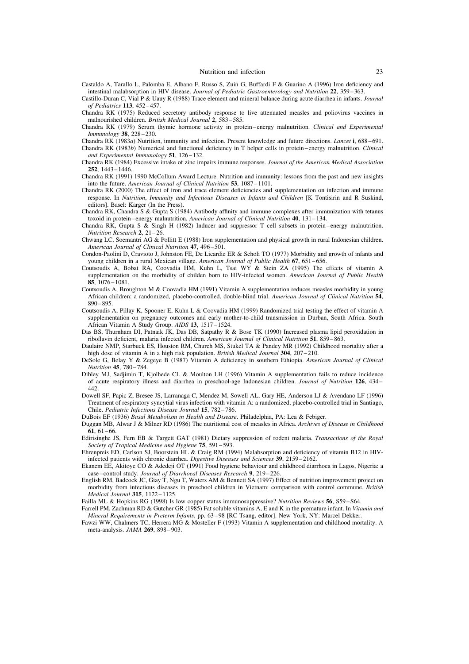- Castaldo A. Tarallo L. Palomba E. Albano F. Russo S. Zuin G. Buffardi F & Guarino A (1996) Iron deficiency and intestinal malabsorption in HIV disease. Journal of Pediatric Gastroenterology and Nutrition 22, 359-363.
- Castillo-Duran C, Vial P & Uauy R (1988) Trace element and mineral balance during acute diarrhea in infants. Journal of Pediatrics 113, 452-457.
- Chandra RK (1975) Reduced secretory antibody response to live attenuated measles and poliovirus vaccines in malnourished children. British Medical Journal 2, 583-585.
- Chandra RK (1979) Serum thymic hormone activity in protein–energy malnutrition. Clinical and Experimental Immunology 38, 228-230.
- Chandra RK (1983a) Nutrition, immunity and infection. Present knowledge and future directions. Lancet i, 688-691. Chandra RK (1983b) Numerical and functional deficiency in T helper cells in protein–energy malnutrition. Clinical
- and Experimental Immunology  $51.126 132$ .
- Chandra RK (1984) Excessive intake of zinc impairs immune responses. Journal of the American Medical Association  $252, 1443 - 1446.$
- Chandra RK (1991) 1990 McCollum Award Lecture. Nutrition and immunity: lessons from the past and new insights into the future. American Journal of Clinical Nutrition 53, 1087-1101.
- Chandra RK (2000) The effect of iron and trace element deficiencies and supplementation on infection and immune response. In Nutrition, Immunity and Infectious Diseases in Infants and Children [K Tontisirin and R Suskind, editors]. Basel: Karger (In the Press).
- Chandra RK, Chandra S & Gupta S (1984) Antibody affinity and immune complexes after immunization with tetanus toxoid in protein-energy malnutrition. American Journal of Clinical Nutrition 40, 131-134.
- Chandra RK, Gupta S & Singh H (1982) Inducer and suppressor T cell subsets in protein–energy malnutrition. Nutrition Research 2,  $21-26$ .
- Chwang LC. Soemantri AG & Pollitt E (1988) Iron supplementation and physical growth in rural Indonesian children. American Journal of Clinical Nutrition 47, 496-501.
- Condon-Paolini D, Cravioto J, Johnston FE, De Licardie ER & Scholi TO (1977) Morbidity and growth of infants and young children in a rural Mexican village. American Journal of Public Health 67, 651-656.
- Coutsoudis A, Bobat RA, Coovadia HM, Kuhn L, Tsai WY & Stein ZA (1995) The effects of vitamin A supplementation on the morbidity of childen born to HIV-infected women. American Journal of Public Health 85.  $1076 - 1081$ .
- Coutsoudis A, Broughton M & Coovadia HM (1991) Vitamin A supplementation reduces measles morbidity in young African children: a randomized, placebo-controlled, double-blind trial. American Journal of Clinical Nutrition 54,  $890 - 895$
- Coutsoudis A, Pillay K, Spooner E, Kuhn L & Coovadia HM (1999) Randomized trial testing the effect of vitamin A supplementation on pregnancy outcomes and early mother-to-child transmission in Durban, South Africa. South African Vitamin A Study Group. AIDS 13, 1517-1524.
- Das BS, Thurnham DI, Patnaik JK, Das DB, Satpathy R & Bose TK (1990) Increased plasma lipid peroxidation in riboflavin deficient, malaria infected children. American Journal of Clinical Nutrition 51, 859-863.
- Daulaire NMP, Starbuck ES, Houston RM, Church MS, Stukel TA & Pandey MR (1992) Childhood mortality after a high dose of vitamin A in a high risk population. British Medical Journal 304, 207-210.
- DeSole G, Belay Y & Zegeye B (1987) Vitamin A deficiency in southern Ethiopia. American Journal of Clinical Nutrition 45, 780-784.
- Dibley MJ, Sadjimin T, Kjolhede CL & Moulton LH (1996) Vitamin A supplementation fails to reduce incidence of acute respiratory illness and diarrhea in preschool-age Indonesian children. Journal of Nutrition 126, 434- $442.$
- Dowell SF, Papic Z, Bresee JS, Larranaga C, Mendez M, Sowell AL, Gary HE, Anderson LJ & Avendano LF (1996) Treatment of respiratory syncytial virus infection with vitamin A: a randomized, placebo-controlled trial in Santiago, Chile. Pediatric Infectious Disease Journal 15, 782-786.
- DuBois EF (1936) Basal Metabolism in Health and Disease. Philadelphia, PA: Lea & Febiger.
- Duggan MB, Alwar J & Milner RD (1986) The nutritional cost of measles in Africa. Archives of Disease in Childhood  $61.61 - 66$
- Edirisinghe JS, Fern EB & Targett GAT (1981) Dietary suppression of rodent malaria. Transactions of the Royal Society of Tropical Medicine and Hygiene 75, 591-593.
- Ehrenpreis ED, Carlson SJ, Boorstein HL & Craig RM (1994) Malabsorption and deficiency of vitamin B12 in HIVinfected patients with chronic diarrhea. Digestive Diseases and Sciences 39, 2159-2162.
- Ekanem EE, Akitoye CO & Adedeji OT (1991) Food hygiene behaviour and childhood diarrhoea in Lagos, Nigeria: a case-control study. Journal of Diarrhoeal Diseases Research 9, 219-226.
- English RM, Badcock JC, Giay T, Ngu T, Waters AM & Bennett SA (1997) Effect of nutrition improvement project on morbidity from infectious diseases in preschool children in Vietnam: comparison with control commune. British Medical Journal 315, 1122-1125.
- Failla ML & Hopkins RG (1998) Is low copper status immunosuppressive? Nutrition Reviews 56, S59-S64.
- Farrell PM, Zachman RD & Gutcher GR (1985) Fat soluble vitamins A, E and K in the premature infant. In Vitamin and Mineral Requirements in Preterm Infants, pp. 63-98 [RC Tsang, editor]. New York, NY: Marcel Dekker.
- Fawzi WW, Chalmers TC, Herrera MG & Mosteller F (1993) Vitamin A supplementation and childhood mortality. A meta-analysis. JAMA 269, 898-903.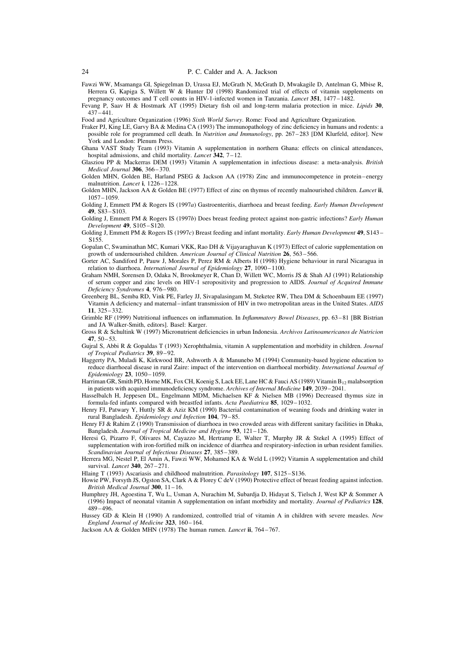- Fawzi WW, Msamanga GI, Spiegelman D, Urassa EJ, McGrath N, McGrath D, Mwakagile D, Antelman G, Mbise R, Herrera G. Kapiga S. Willett W & Hunter DJ (1998) Randomized trial of effects of vitamin supplements on pregnancy outcomes and T cell counts in HIV-1-infected women in Tanzania. Lancet 351, 1477-1482.
- Fevang P, Saav H & Hostmark AT (1995) Dietary fish oil and long-term malaria protection in mice. Lipids 30,  $437 - 441.$

Food and Agriculture Organization (1996) Sixth World Survey. Rome: Food and Agriculture Organization.

- Fraker PJ, King LE, Garvy BA & Medina CA (1993) The immunopathology of zinc deficiency in humans and rodents: a possible role for programmed cell death. In Nutrition and Immunology, pp. 267-283 [DM Klurfeld, editor]. New York and London: Plenum Press.
- Ghana VAST Study Team (1993) Vitamin A supplementation in northern Ghana: effects on clinical attendances, hospital admissions, and child mortality. Lancet  $342$ ,  $7-12$ .
- Glasziou PP & Mackerras DEM (1993) Vitamin A supplementation in infectious disease: a meta-analysis. British Medical Journal 306, 366-370.
- Golden MHN, Golden BE, Harland PSEG & Jackson AA (1978) Zinc and immunocompetence in protein-energy malnutrition. Lancet i, 1226-1228.
- Golden MHN, Jackson AA & Golden BE (1977) Effect of zinc on thymus of recently malnourished children. Lancet ii,  $1057 - 1059.$
- Golding J, Emmett PM & Rogers IS (1997a) Gastroenteritis, diarrhoea and breast feeding. Early Human Development 49,  $S83 - S103$ .
- Golding J, Emmett PM & Rogers IS (1997b) Does breast feeding protect against non-gastric infections? Early Human Development 49, S105-S120.
- Golding J. Emmett PM & Rogers IS (1997c) Breast feeding and infant mortality. Early Human Development 49,  $S143 S155$
- Gopalan C, Swaminathan MC, Kumari VKK, Rao DH & Vijayaraghavan K (1973) Effect of calorie supplementation on growth of undernourished children. American Journal of Clinical Nutrition 26, 563-566.
- Gorter AC, Sandiford P, Pauw J, Morales P, Perez RM & Alberts H (1998) Hygiene behaviour in rural Nicaragua in relation to diarrhoea. International Journal of Epidemiology 27, 1090-1100.
- Graham NMH, Sorensen D, Odaka N, Brookmeyer R, Chan D, Willett WC, Morris JS & Shah AJ (1991) Relationship of serum copper and zinc levels on HIV-1 seropositivity and progression to AIDS. Journal of Acquired Immune Deficiency Syndromes 4, 976-980.
- Greenberg BL, Semba RD, Vink PE, Farley JJ, Sivapalasingam M, Steketee RW, Thea DM & Schoenbaum EE (1997) Vitamin A deficiency and maternal – infant transmission of HIV in two metropolitan areas in the United States. AIDS  $11.325 - 332.$
- Grimble RF (1999) Nutritional influences on inflammation. In *Inflammatory Bowel Diseases*, pp. 63-81 [BR Bistrian and JA Walker-Smith, editors]. Basel: Karger.
- Gross R & Schultink W (1997) Micronutrient deficiencies in urban Indonesia. Archivos Latinoamericanos de Nutricion 47.  $50 - 53$ .
- Gujral S, Abbi R & Gopaldas T (1993) Xerophthalmia, vitamin A supplementation and morbidity in children. Journal of Tropical Pediatrics 39, 89-92.
- Haggerty PA, Muladi K, Kirkwood BR, Ashworth A & Manunebo M (1994) Community-based hygiene education to reduce diarrhoeal disease in rural Zaire: impact of the intervention on diarrhoeal morbidity. International Journal of Epidemiology 23,  $1050 - 1059$ .
- Harriman GR, Smith PD, Horne MK, Fox CH, Koenig S, Lack EE, Lane HC & Fauci AS (1989) Vitamin B<sub>12</sub> malabsorption in patients with acquired immunodeficiency syndrome. Archives of Internal Medicine 149, 2039-2041
- Hasselbalch H, Jeppesen DL, Engelmann MDM, Michaelsen KF & Nielsen MB (1996) Decreased thymus size in formula-fed infants compared with breastfed infants. Acta Paediatrica 85, 1029-1032.
- Henry FJ, Patwary Y, Huttly SR & Aziz KM (1990) Bacterial contamination of weaning foods and drinking water in rural Bangladesh. Epidemiology and Infection 104, 79-85.
- Henry FJ & Rahim Z (1990) Transmission of diarrhoea in two crowded areas with different sanitary facilities in Dhaka, Bangladesh. Journal of Tropical Medicine and Hygiene 93, 121-126.
- Heresi G, Pizarro F, Olivares M, Cayazzo M, Hertramp E, Walter T, Murphy JR & Stekel A (1995) Effect of supplementation with iron-fortified milk on incidence of diarrhea and respiratory-infection in urban resident families. Scandinavian Journal of Infectious Diseases 27, 385-389.
- Herrera MG, Nestel P, El Amin A, Fawzi WW, Mohamed KA & Weld L (1992) Vitamin A supplementation and child survival. Lancet 340, 267-271.
- Hlaing T (1993) Ascariasis and childhood malnutrition. Parasitology 107, S125-S136.
- Howie PW, Forsyth JS, Ogston SA, Clark A & Florey C deV (1990) Protective effect of breast feeding against infection. British Medical Journal  $300$ ,  $11-16$ .
- Humphrey JH, Agoestina T, Wu L, Usman A, Nurachim M, Subardja D, Hidayat S, Tielsch J, West KP & Sommer A (1996) Impact of neonatal vitamin A supplementation on infant morbidity and mortality. Journal of Pediatrics 128,  $489 - 496$
- Hussey GD & Klein H (1990) A randomized, controlled trial of vitamin A in children with severe measles. New England Journal of Medicine 323, 160-164.
- Jackson AA & Golden MHN (1978) The human rumen. Lancet ii, 764-767.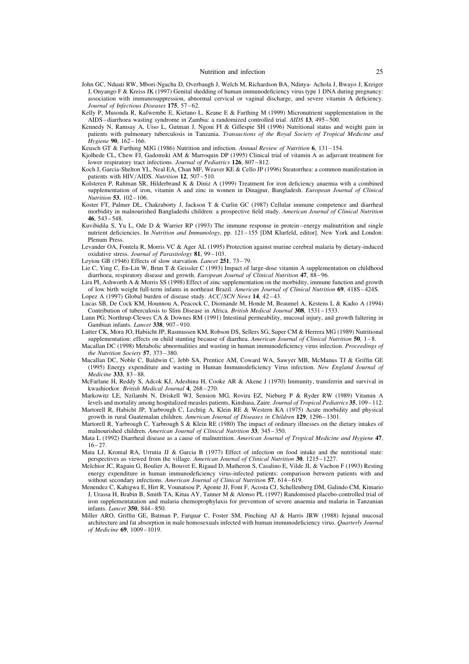- John GC, Nduati RW, Mbori-Ngacha D, Overbaugh J, Welch M, Richardson BA, Ndinya-Achola J, Bwayo J, Kreiger J. Onvango F & Kreiss JK (1997) Genital shedding of human immunodeficiency virus type 1 DNA during pregnancy: association with immunosuppression, abnormal cervical or vaginal discharge, and severe vitamin A deficiency. Journal of Infectious Diseases 175, 57-62.
- Kelly P, Musonda R, Kafwembe E, Kietano L, Keane E & Farthing M (1999) Micronutrient supplementation in the AIDS-diarrhoea wasting syndrome in Zambia: a randomized controlled trial. AIDS 13, 495-500.
- Kennedy N, Ramsay A, Uiso L, Gutman J, Ngoni FI & Gillespie SH (1996) Nutritional status and weight gain in patients with pulmonary tuberculosis in Tanzania. Transactions of the Royal Society of Tropical Medicine and Hygiene 90, 162-166.
- Keusch GT & Farthing MJG (1986) Nutrition and infection. Annual Review of Nutrition 6, 131-154.
- Kjolhede CL, Chew FJ, Gadomski AM & Marroquin DP (1995) Clinical trial of vitamin A as adjuvant treatment for lower respiratory tract infections. Journal of Pediatrics 126, 807-812.
- Koch J, Garcia-Shelton YL, Neal EA, Chan MF, Weaver KE & Cello JP (1996) Steatorrhea: a common manifestation in patients with HIV/AIDS. Nutrition 12, 507-510.
- Kolsteren P, Rahman SR, Hilderbrand K & Diniz A (1999) Treatment for iron deficiency anaemia with a combined supplementation of iron, vitamin A and zinc in women in Dinajpur, Bangladesh. European Journal of Clinical Nutrition 53, 102-106.
- Koster FT, Palmer DL, Chakraborty J, Jackson T & Curlin GC (1987) Cellular immune competence and diarrheal morbidity in malnourished Bangladeshi children: a prospective field study. American Journal of Clinical Nutrition 46,  $543 - 548$
- Kuvibidila S, Yu L, Ode D & Warrier RP (1993) The immune response in protein–energy malnutrition and single nutrient deficiencies. In *Nutrition and Immunology*, pp. 121–155 IDM Klurfeld, editorl. New York and London: Plenum Press
- Levander OA, Fontela R, Morris VC & Ager AL (1995) Protection against murine cerebral malaria by dietary-induced oxidative stress. Journal of Parasitology 81, 99-103.
- Leyton GB (1946) Effects of slow starvation. Lancet 251, 73-79.
- Lie C, Ying C, En-Lin W, Brun T & Geissler C (1993) Impact of large-dose vitamin A supplementation on childhood diarrhoea, respiratory disease and growth. European Journal of Clinical Nutrition 47, 88-96.
- Lira PI, Ashworth A & Morris SS (1998) Effect of zinc supplementation on the morbidity, immune function and growth of low birth weight full-term infants in northeast Brazil. American Journal of Clinical Nutrition 69, 418S-424S. Lopez A (1997) Global burden of disease study. ACC/SCN News 14, 42-43.
- Lucas SB, De Cock KM, Hounnou A, Peacock C, Diomande M, Honde M, Beaumel A, Kestens L & Kadio A (1994) Contribution of tuberculosis to Slim Disease in Africa. British Medical Journal 308, 1531-1533.
- Lunn PG, Northrup-Clewes CA & Downes RM (1991) Intestinal permeability, mucosal injury, and growth faltering in Gambian infants. Lancet 338, 907-910.
- Lutter CK, Mora JO, Habiicht JP, Rasmussen KM, Robson DS, Sellers SG, Super CM & Herrera MG (1989) Nutritional supplementation: effects on child stunting because of diarrhea. American Journal of Clinical Nutrition  $50$ , 1-8.
- Macailan DC (1998) Metabolic abnormalities and wasting in human immunodeficiency virus infection. Proceedings of the Nutrition Society 57, 373-380.
- Macallan DC, Noble C, Baldwin C, Jebb SA, Prentice AM, Coward WA, Sawyer MB, McManus TJ & Griffin GE (1995) Energy expenditure and wasting in Human Immunodeficiency Virus infection. New England Journal of Medicine 333, 83-88.
- McFarlane H, Reddy S, Adcok KJ, Adeshina H, Cooke AR & Akene J (1970) Immunity, transferrin and survival in kwashiorkor. British Medical Journal 4, 268-270.
- Markowitz LE, Nzilambi N, Driskell WJ, Sension MG, Rovira EZ, Nieburg P & Ryder RW (1989) Vitamin A levels and mortality among hospitalized measles patients, Kinshasa, Zaire. Journal of Tropical Pediatrics 35, 109-112. Martorell R, Habicht JP, Yarbrough C, Lechtig A, Klein RE & Western KA (1975) Acute morbidity and physical
- growth in rural Guatemalan children. American Journal of Diseases in Children 129, 1296–1301 Martorell R, Yarbrough C, Yarbrough S & Klein RE (1980) The impact of ordinary illnesses on the dietary intakes of
- malnourished children. American Journal of Clinical Nutrition 33, 345-350.
- Mata L (1992) Diarrheal disease as a cause of malnutrition. American Journal of Tropical Medicine and Hygiene 47,  $16 - 27$ .
- Mata LJ, Kromal RA, Urrutia JJ & Garcia B (1977) Effect of infection on food intake and the nutritional state: perspectives as viewed from the village. American Journal of Clinical Nutrition 30, 1215-1227.
- Melchior JC, Raguin G, Boulier A, Bouvet E, Rigaud D, Matheron S, Casalino E, Vilde JL & Vachon F (1993) Resting energy expenditure in human immunodeficiency virus-infected patients: comparison between patients with and without secondary infections. American Journal of Clinical Nutrition 57, 614–619.
- Menendez C, Kahigwa E, Hirt R, Vounatsou P, Aponte JJ, Font F, Acosta CJ, Schellenberg DM, Galindo CM, Kimario J, Urassa H, Brabin B, Smith TA, Kitua AY, Tanner M & Alonso PL (1997) Randomised placebo-controlled trial of iron supplementatation and malaria chemoprophylaxis for prevention of severe anaemia and malaria in Tanzanian infants. *Lancet* 350, 844-850.
- Miller ARO, Griffin GE, Batman P, Farquar C, Foster SM, Pinching AJ & Harris JRW (1988) Jejunal mucosal architecture and fat absorption in male homosexuals infected with human immunodeficiency virus. Ouarterly Journal of Medicine 69, 1009-1019.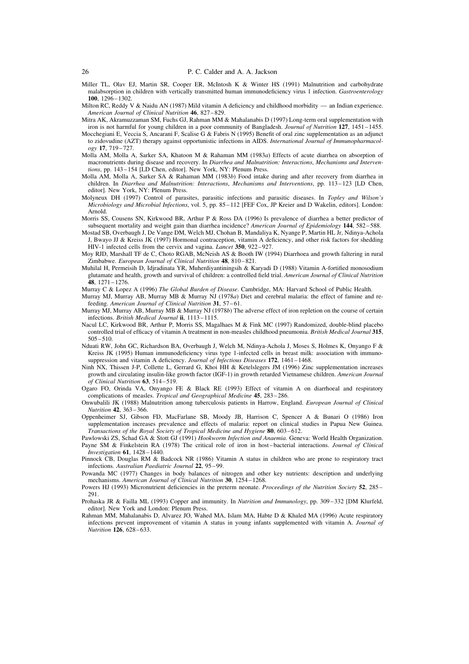Miller TL, Olav EJ, Martin SR, Cooper ER, McIntosh K & Winter HS (1991) Malnutrition and carbohydrate malabsorption in children with vertically transmitted human immunodeficiency virus 1 infection. Gastroenterology  $100$   $1296 - 1302$ 

Milton RC, Reddy V & Naidu AN (1987) Mild vitamin A deficiency and childhood morbidity — an Indian experience. American Journal of Clinical Nutrition 46, 827-829.

- Mitra AK, Akramuzzaman SM, Fuchs GJ, Rahman MM & Mahalanabis D (1997) Long-term oral supplementation with iron is not harmful for young children in a poor community of Bangladesh. Journal of Nutrition 127, 1451-1455.
- Mocchegiani E, Veccia S, Ancarani F, Scalise G & Fabris N (1995) Benefit of oral zinc supplementation as an adjunct to zidovudine (AZT) therapy against opportunistic infections in AIDS. International Journal of Immunopharmacology 17, 719-727.
- Molla AM, Molla A, Sarker SA, Khatoon M & Rahaman MM (1983a) Effects of acute diarrhea on absorption of macronutrients during disease and recovery. In Diarrhea and Malnutrition: Interactions, Mechanisms and Interventions, pp. 143-154 [LD Chen, editor]. New York, NY: Plenum Press.
- Molla AM, Molla A, Sarker SA & Rahaman MM (1983b) Food intake during and after recovery from diarrhea in children. In Diarrhea and Malnutrition: Interactions, Mechanisms and Interventions, pp. 113-123 [LD Chen, editorl. New York, NY: Plenum Press.
- Molyneux DH (1997) Control of parasites, parasitic infections and parasitic diseases. In Topley and Wilson's Microbiology and Microbial Infections, vol. 5, pp. 85-112 [FEF Cox, JP Kreier and D Wakelin, editors]. London: Arnold.
- Morris SS, Cousens SN, Kirkwood BR, Arthur P & Ross DA (1996) Is prevalence of diarrhea a better predictor of subsequent mortality and weight gain than diarrhea incidence? American Journal of Epidemiology 144, 582–588.
- Mostad SB, Overbaugh J, De Vange DM, Welch MJ, Chohan B, Mandaliya K, Nyange P, Martin HL Jr, Ndinya-Achola J, Bwavo JJ & Kreiss JK (1997) Hormonal contraception, vitamin A deficiency, and other risk factors for shedding HIV-1 infected cells from the cervix and vagina. *Lancet* 350, 922–927.
- Moy RJD, Marshall TF de C, Choto RGAB, McNeish AS & Booth IW (1994) Diarrhoea and growth faltering in rural Zimbabwe. European Journal of Clinical Nutrition 48, 810-821.
- Muhilal H, Permeisih D, Idiradinata YR, Muherdiyantiningsih & Karyadi D (1988) Vitamin A-fortified monosodium glutamate and health, growth and survival of children: a controlled field trial. American Journal of Clinical Nutrition 48.  $1271 - 1276$ .
- Murray C & Lopez A (1996) The Global Burden of Disease. Cambridge, MA: Harvard School of Public Health.
- Murray MJ, Murray AB, Murray MB & Murray NJ (1978a) Diet and cerebral malaria: the effect of famine and refeeding. American Journal of Clinical Nutrition 31, 57-61.
- Murray MJ, Murray AB, Murray MB & Murray NJ (1978b) The adverse effect of iron repletion on the course of certain infections. British Medical Journal ii, 1113-1115.
- Nacul LC, Kirkwood BR, Arthur P, Morris SS, Magalhaes M & Fink MC (1997) Randomized, double-blind placebo controlled trial of efficacy of vitamin A treatment in non-measles childhood pneumonia. British Medical Journal 315,  $505 - 510$ .
- Nduati RW, John GC, Richardson BA, Overbaugh J, Welch M, Ndinya-Achola J, Moses S, Holmes K, Onyango F & Kreiss JK (1995) Human immunodeficiency virus type 1-infected cells in breast milk: association with immunosuppression and vitamin A deficiency. Journal of Infectious Diseases 172, 1461-1468.
- Ninh NX, Thissen J-P, Collette L, Gerrard G, Khoi HH & Ketelslegers JM (1996) Zinc supplementation increases growth and circulating insulin-like growth factor (IGF-1) in growth retarded Vietnamese children. American Journal of Clinical Nutrition 63, 514-519.
- Ogaro FO, Orinda VA, Onyango FE & Black RE (1993) Effect of vitamin A on diarrhoeal and respiratory complications of measles. Tropical and Geographical Medicine 45, 283-286.
- Onwubalili JK (1988) Malnutrition among tuberculosis patients in Harrow, England. European Journal of Clinical Nutrition 42, 363-366.
- Oppenheimer SJ, Gibson FD, MacFarlane SB, Moody JB, Harrison C, Spencer A & Bunari O (1986) Iron supplementation increases prevalence and effects of malaria: report on clinical studies in Papua New Guinea. Transactions of the Royal Society of Tropical Medicine and Hygiene 80, 603-612.
- Pawlowski ZS. Schad GA & Stott GJ (1991) Hookworm Infection and Anaemia. Geneva: World Health Organization. Payne SM & Finkelstein RA (1978) The critical role of iron in host-bacterial interactions. Journal of Clinical *Investigation* 61, 1428-1440.
- Pinnock CB, Douglas RM & Badcock NR (1986) Vitamin A status in children who are prone to respiratory tract infections. Australian Paediatric Journal 22, 95-99.
- Powanda MC (1977) Changes in body balances of nitrogen and other key nutrients: description and underlying mechanisms. American Journal of Clinical Nutrition 30, 1254-1268.
- Powers HJ (1993) Micronutrient deficiencies in the preterm neonate. Proceedings of the Nutrition Society 52, 285-291
- Prohaska JR & Failla ML (1993) Copper and immunity. In Nutrition and Immunology, pp. 309-332 [DM Klurfeld, editor]. New York and London: Plenum Press.
- Rahman MM, Mahalanabis D, Alvarez JO, Wahed MA, Islam MA, Habte D & Khaled MA (1996) Acute respiratory infections prevent improvement of vitamin A status in young infants supplemented with vitamin A. Journal of Nutrition 126, 628-633.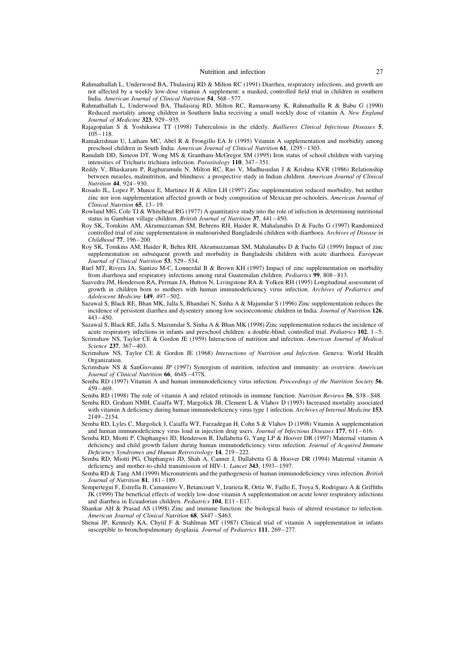- Rahmathullah L. Underwood BA. Thulasirai RD & Milton RC (1991) Diarrhea, respiratory infections, and growth are not affected by a weekly low-dose vitamin A supplement: a masked, controlled field trial in children in southern India. American Journal of Clinical Nutrition 54, 568-577.
- Rahmathullah L, Underwood BA, Thulasiraj RD, Milton RC, Ramaswamy K, Rahmathulla R & Babu G (1990) Reduced mortality among children in Southern India receiving a small weekly dose of vitamin A. New England Journal of Medicine 323, 929-935.
- Rajagopalan S & Yoshikawa TT (1998) Tuberculosis in the elderly. Baillieres Clinical Infectious Diseases 5,  $105 - 118$ .
- Ramakrishnan U, Latham MC, Abel R & Frongillo EA Jr (1995) Vitamin A supplementation and morbidity among preschool children in South India. American Journal of Clinical Nutrition 61, 1295-1303.
- Ramdath DD, Simeon DT, Wong MS & Grantham-McGregor SM (1995) Iron status of school children with varying intensities of Trichuris trichiura infection. Parasitology 110, 347-351.
- Reddy V, Bhaskaram P, Raghuramulu N, Milton RC, Rao V, Madhusudan J & Krishna KVR (1986) Relationship between measles, malnutrition, and blindness: a prospective study in Indian children. American Journal of Clinical Nutrition 44, 924-930.
- Rosado JL, Lopez P, Munoz E, Martinez H & Allen LH (1997) Zinc supplementation reduced morbidity, but neither zinc nor iron supplementation affected growth or body composition of Mexican pre-schoolers. American Journal of Clinical Nutrition 65, 13-19.
- Rowland MG, Cole TJ & Whitehead RG (1977) A quantitative study into the role of infection in determining nutritional status in Gambian village children. British Journal of Nutrition 37, 441-450.
- Roy SK, Tomkins AM, Akramuzzaman SM, Behrens RH, Haider R, Mahalanabis D & Fuchs G (1997) Randomized controlled trial of zinc supplementation in malnourished Bangladeshi children with diarrhoea. Archives of Disease in Childhood 77, 196-200.
- Roy SK, Tomkins AM, Haider R, Behra RH, Akramuzzaman SM, Mahalanabis D & Fuchs GJ (1999) Impact of zinc supplementation on subsequent growth and morbidity in Bangladeshi children with acute diarrhoea. European Journal of Clinical Nutrition 53, 529-534.
- Ruel MT, Rivera JA, Santizo M-C, Lonnerdal B & Brown KH (1997) Impact of zinc supplementation on morbidity from diarrhoea and respiratory infections among rural Guatemalan children. Pediatrics 99, 808-813.
- Saavedra JM, Henderson RA, Perman JA, Hutton N, Livingstone RA & Yolken RH (1995) Longitudinal assessment of growth in children born to mothers with human immunodeficiency virus infection. Archives of Pediatrics and Adolescent Medicine 149, 497-502.
- Sazawal S, Black RE, Bhan MK, Jalla S, Bhandari N, Sinha A & Majumdar S (1996) Zinc supplementation reduces the incidence of persistent diarrhea and dysentery among low socioeconomic children in India. Journal of Nutrition 126,  $443 - 450$
- Sazawal S, Black RE, Jalla S, Mazumdar S, Sinha A & Bhan MK (1998) Zinc supplementation reduces the incidence of acute respiratory infections in infants and preschool children: a double-blind, controlled trial. Pediatrics 102, 1-5.
- Scrimshaw NS. Taylor CE & Gordon JE (1959) Interaction of nutrition and infection. American Journal of Medical Science 237, 367-403.
- Scrimshaw NS, Taylor CE & Gordon JE (1968) Interactions of Nutrition and Infection. Geneva: World Health Organization.
- Scrimshaw NS & SanGiovanni JP (1997) Synergism of nutrition, infection and immunity: an overview. American Journal of Clinical Nutrition 66, 464S-477S.
- Semba RD (1997) Vitamin A and human immunodeficiency virus infection. Proceedings of the Nutrition Society 56,  $459 - 469$
- Semba RD (1998) The role of vitamin A and related retinoids in immune function. Nutrition Reviews 56, S38-S48.
- Semba RD, Graham NMH, Caiaffa WT, Margolick JB, Clement L & Vlahov D (1993) Increased mortality associated with vitamin A deficiency during human immunodeficiency virus type 1 infection. Archives of Internal Medicine 153,  $2149 - 2154$
- Semba RD, Lyles C, Margolick J, Caiaffa WT, Farzadegan H, Cohn S & Vlahov D (1998) Vitamin A supplementation and human immunodeficiency virus load in injection drug users. Journal of Infectious Diseases 177, 611-616.
- Semba RD, Miotti P, Chiphangwi JD, Henderson R, Dallabetta G, Yang LP & Hoover DR (1997) Maternal vitamin A deficiency and child growth failure during human immunodeficiency virus infection. Journal of Acquired Immune Deficiency Syndromes and Human Retrovirology 14, 219-222.
- Semba RD, Miotti PG, Chiphangwi JD, Shah A, Canner J, Dallabetta G & Hoover DR (1994) Maternal vitamin A deficiency and mother-to-child transmission of HIV-1. Lancet 343, 1593-1597.
- Semba RD & Tang AM (1999) Micronutrients and the pathogenesis of human immunodeficiency virus infection. British Journal of Nutrition 81, 181-189.
- Sempertegui F, Estrella B, Camaniero V, Betancourt V, Izurieta R, Ortiz W, Faillo E, Troya S, Rodriguez A & Griffiths JK (1999) The beneficial effects of weekly low-dose vitamin A supplementation on acute lower respiratory infections and diarrhea in Ecuadorian children. Pediatrics 104, E11-E17.
- Shankar AH & Prasad AS (1998) Zinc and immune function: the biological basis of altered resistance to infection. American Journal of Clinical Nutrition 68, S447-S463.
- Shenai JP, Kennedy KA, Chytil F & Stahlman MT (1987) Clinical trial of vitamin A supplementation in infants susceptible to bronchopulmonary dysplasia. Journal of Pediatrics 111, 269-277.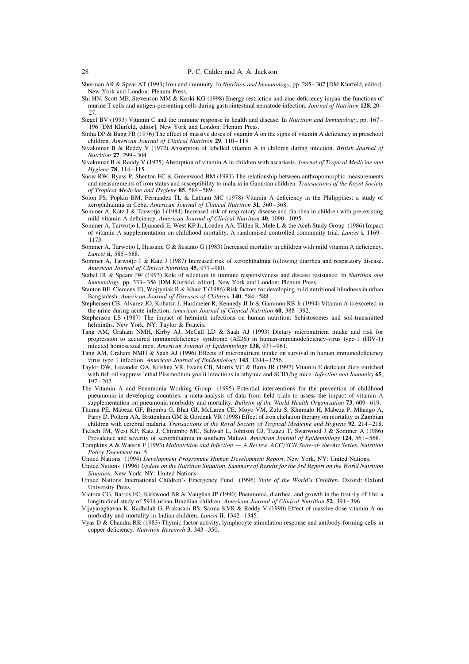- Sherman AR & Spear AT (1993) Iron and immunity. In Nutrition and Immunology, pp. 285–307 [DM Klurfeld, editor]. New York and London: Plenum Press.
- Shi HN, Scott ME, Stevenson MM & Koski KG (1998) Energy restriction and zinc deficiency impair the functions of murine T cells and antigen-presenting cells during gastrointestinal nematode infection. Journal of Nutrition 128, 20-27.
- Siegel BV (1993) Vitamin C and the immune response in health and disease. In *Nutrition and Immunology*, pp. 167– 196 [DM Klurfeld, editor]. New York and London: Plenum Press.
- Sinha DP & Bang FB (1976) The effect of massive doses of vitamin A on the signs of vitamin A deficiency in preschool children. American Journal of Clinical Nutrition 29, 110-115.
- Sivakumar B & Reddy V (1972) Absorption of labelled vitamin A in children during infection. British Journal of Nutrition 27, 299-304.
- Sivakumar B & Reddy V (1975) Absorption of vitamin A in children with ascariasis. Journal of Tropical Medicine and Hygiene 78, 114-115.
- Snow RW, Byass P, Shenton FC & Greenwood BM (1991) The relationship between anthropomorphic measurements and measurements of iron status and susceptibility to malaria in Gambian children. Transactions of the Royal Society of Tropical Medicine and Hygiene 85, 584-589.
- Solon FS, Popkin BM, Fernandez TL & Latham MC (1978) Vitamin A deficiency in the Philippines: a study of xerophthalmia in Cebu. American Journal of Clinical Nutrition 31, 360-368.
- Sommer A, Katz J & Tarwotjo I (1984) Increased risk of respiratory disease and diarrhea in children with pre-existing mild vitamin A deficiency. American Journal of Clinical Nutrition 40, 1090-1095.
- Sommer A, Tarwotjo I, Djunaedi E, West KP Jr, Loeden AA, Tilden R, Mele L & the Aceh Study Group (1986) Impact of vitamin A supplementation on childhood mortality. A randomised controlled community trial *Lancet* i 1169– 1173
- Sommer A, Tarwotjo I, Hussaini G & Susanto G (1983) Increased mortality in children with mild vitamin A deficiency. Lancet ii, 585-588.
- Sommer A, Tarwotjo I & Katz J (1987) Increased risk of xerophthalmia following diarrhea and respiratory disease. American Journal of Clinical Nutrition 45, 977-980.
- Stabel JR & Spears JW (1993) Role of selenium in immune responsiveness and disease resistance. In Nutrition and Immunology, pp. 333-356 [DM Klurfeld, editor]. New York and London: Plenum Press.
- Stanton BF, Clemens JD, Wojtyniak B & Khair T (1986) Risk factors for developing mild nutritional blindness in urban Bangladesh. American Journal of Diseases of Children 140, 584-588.
- Stephensen CB, Alvarez JO, Kohatsu J, Hardmeier R, Kennedy JI Jr & Gammon RB Jr (1994) Vitamin A is excreted in the urine during acute infection. American Journal of Clinical Nutrition 60, 388–392.
- Stephenson LS (1987) The impact of helminth infections on human nutrition: Schistosomes and soil-transmitted helminths. New York, NY: Taylor & Francis.
- Tang AM, Graham NMH, Kirby AJ, McCall LD & Saah AJ (1993) Dietary micronutrient intake and risk for progression to acquired immunodeficiency syndrome (AIDS) in human-immunodeficiency-virus type-1 (HIV-1) infected homosexual men. American Journal of Epidemiology 138, 937-961.
- Tang AM, Graham NMH & Saah AJ (1996) Effects of micronutrient intake on survival in human immunodeficiency virus type 1 infection. American Journal of Epidemiology 143, 1244-1256.
- Taylor DW, Levander OA, Krishna VR, Evans CB, Morris VC & Barta JR (1997) Vitamin E deficient diets enriched with fish oil suppress lethal Plasmodium yoelii infections in athymic and SCID/bg mice. Infection and Immunity 65,  $197 - 202$ .
- The Vitamin A and Pneumonia Working Group (1995) Potential interventions for the prevention of childhood pneumonia in developing countries: a meta-analysis of data from field trials to assess the impact of vitamin A supplementation on pneumonia morbidity and mortality. Bulletin of the World Health Organization 73, 609–619.
- Thuma PE, Mabeza GF, Biemba G, Bhat GJ, McLaren CE, Moyo VM, Zulu S, Khumalo H, Mabeza P, Mhango A, Parry D, Poltera AA, Brittenham GM & Gordenk VR (1998) Effect of iron chelation therapy on mortality in Zambian children with cerebral malaria. Transactions of the Royal Society of Tropical Medicine and Hygiene 92, 214–218.
- Tielsch JM, West KP, Katz J, Chirambo MC, Schwab L, Johnson GJ, Tizazu T, Swarwood J & Sommer A (1986) Prevalence and severity of xerophthalmia in southern Malawi. American Journal of Epidemiology 124, 561-568.
- Tompkins A & Watson F (1993) Malnutrition and Infection A Review. ACC/SCN State-of-the-Art Series, Nutrition Policy Document no. 5.
- United Nations (1994) Development Programme Human Development Report. New York, NY: United Nations.
- United Nations (1996) Update on the Nutrition Situation. Summary of Results for the 3rd Report on the World Nutrition Situation. New York. NY: United Nations
- United Nations International Children's Emergency Fund (1996) State of the World's Children. Oxford: Oxford University Press.
- Victora CG, Barros FC, Kirkwood BR & Vaughan JP (1990) Pneumonia, diarrhea, and growth in the first 4 y of life: a longitudinal study of 5914 urban Brazilian children. American Journal of Clinical Nutrition 52, 391-396.
- Vijayaraghavan K, Radhalah G, Prakasam BS, Sarma KVR & Reddy V (1990) Effect of massive dose vitamin A on morbidity and mortality in Indian children. Lancet ii, 1342-1345.
- Vyas D & Chandra RK (1983) Thymic factor activity, lymphocyte stimulation response and antibody-forming cells in copper deficiency. Nutrition Research 3, 343-350.